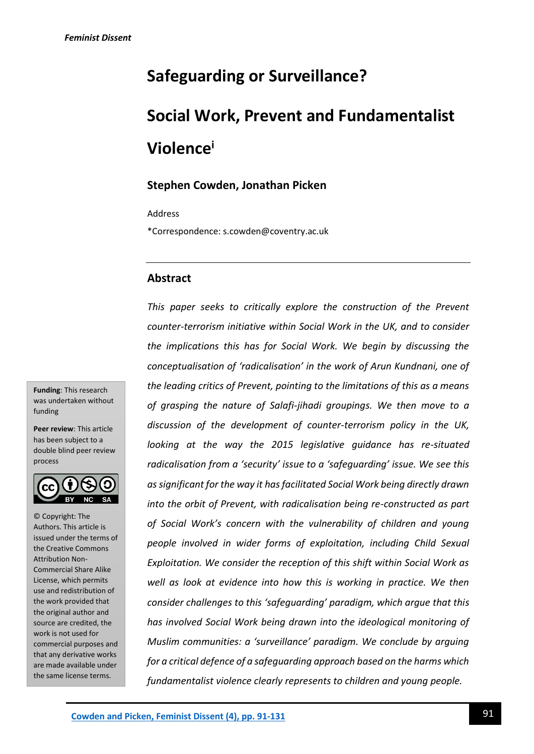# **Safeguarding or Surveillance?**

# **Social Work, Prevent and Fundamentalist Violence<sup>i</sup>**

# **Stephen Cowden, Jonathan Picken**

Address

\*Correspondence: s.cowden@coventry.ac.uk

### **Abstract**

*This paper seeks to critically explore the construction of the Prevent counter-terrorism initiative within Social Work in the UK, and to consider the implications this has for Social Work. We begin by discussing the conceptualisation of 'radicalisation' in the work of Arun Kundnani, one of the leading critics of Prevent, pointing to the limitations of this as a means of grasping the nature of Salafi-jihadi groupings. We then move to a discussion of the development of counter-terrorism policy in the UK, looking at the way the 2015 legislative guidance has re-situated radicalisation from a 'security' issue to a 'safeguarding' issue. We see this as significant for the way it has facilitated Social Work being directly drawn into the orbit of Prevent, with radicalisation being re-constructed as part of Social Work's concern with the vulnerability of children and young people involved in wider forms of exploitation, including Child Sexual Exploitation. We consider the reception of this shift within Social Work as well as look at evidence into how this is working in practice. We then consider challenges to this 'safeguarding' paradigm, which argue that this has involved Social Work being drawn into the ideological monitoring of Muslim communities: a 'surveillance' paradigm. We conclude by arguing for a critical defence of a safeguarding approach based on the harms which fundamentalist violence clearly represents to children and young people.*

**Funding**: This research was undertaken without funding

**Peer review**: This article has been subject to a double blind peer review process



© Copyright: The Authors. This article is issued under the terms of the Creative Commons Attribution Non-Commercial Share Alike License, which permits use and redistribution of the work provided that the original author and source are credited, the work is not used for commercial purposes and that any derivative works are made available under the same license terms.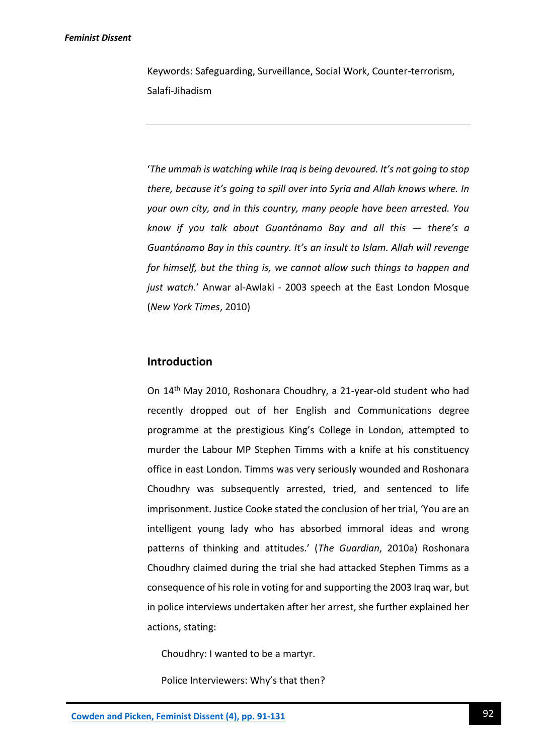Keywords: Safeguarding, Surveillance, Social Work, Counter-terrorism, Salafi-Jihadism

'*The ummah is watching while Iraq is being devoured. It's not going to stop there, because it's going to spill over into Syria and Allah knows where. In your own city, and in this country, many people have been arrested. You know if you talk about Guantánamo Bay and all this — there's a Guantánamo Bay in this country. It's an insult to Islam. Allah will revenge for himself, but the thing is, we cannot allow such things to happen and just watch.*' Anwar al-Awlaki - 2003 speech at the East London Mosque (*New York Times*, 2010)

# **Introduction**

On 14th May 2010, Roshonara Choudhry, a 21-year-old student who had recently dropped out of her English and Communications degree programme at the prestigious King's College in London, attempted to murder the Labour MP Stephen Timms with a knife at his constituency office in east London. Timms was very seriously wounded and Roshonara Choudhry was subsequently arrested, tried, and sentenced to life imprisonment. Justice Cooke stated the conclusion of her trial, 'You are an intelligent young lady who has absorbed immoral ideas and wrong patterns of thinking and attitudes.' (*The Guardian*, 2010a) Roshonara Choudhry claimed during the trial she had attacked Stephen Timms as a consequence of his role in voting for and supporting the 2003 Iraq war, but in police interviews undertaken after her arrest, she further explained her actions, stating:

Choudhry: I wanted to be a martyr.

Police Interviewers: Why's that then?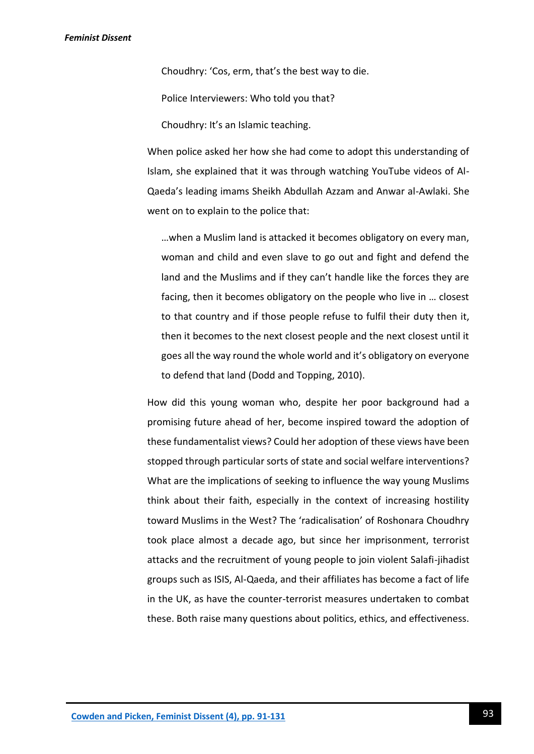Choudhry: 'Cos, erm, that's the best way to die.

Police Interviewers: Who told you that?

Choudhry: It's an Islamic teaching.

When police asked her how she had come to adopt this understanding of Islam, she explained that it was through watching YouTube videos of Al-Qaeda's leading imams Sheikh Abdullah Azzam and Anwar al-Awlaki. She went on to explain to the police that:

…when a Muslim land is attacked it becomes obligatory on every man, woman and child and even slave to go out and fight and defend the land and the Muslims and if they can't handle like the forces they are facing, then it becomes obligatory on the people who live in … closest to that country and if those people refuse to fulfil their duty then it, then it becomes to the next closest people and the next closest until it goes all the way round the whole world and it's obligatory on everyone to defend that land (Dodd and Topping, 2010).

How did this young woman who, despite her poor background had a promising future ahead of her, become inspired toward the adoption of these fundamentalist views? Could her adoption of these views have been stopped through particular sorts of state and social welfare interventions? What are the implications of seeking to influence the way young Muslims think about their faith, especially in the context of increasing hostility toward Muslims in the West? The 'radicalisation' of Roshonara Choudhry took place almost a decade ago, but since her imprisonment, terrorist attacks and the recruitment of young people to join violent Salafi-jihadist groups such as ISIS, Al-Qaeda, and their affiliates has become a fact of life in the UK, as have the counter-terrorist measures undertaken to combat these. Both raise many questions about politics, ethics, and effectiveness.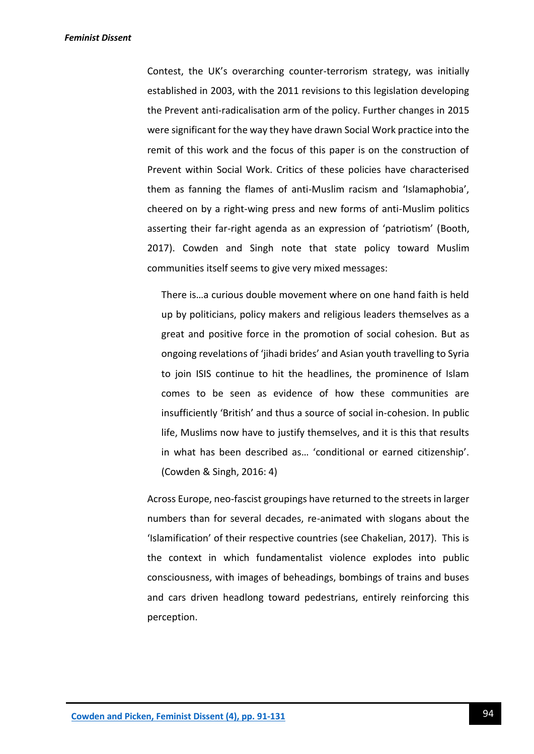Contest, the UK's overarching counter-terrorism strategy, was initially established in 2003, with the 2011 revisions to this legislation developing the Prevent anti-radicalisation arm of the policy. Further changes in 2015 were significant for the way they have drawn Social Work practice into the remit of this work and the focus of this paper is on the construction of Prevent within Social Work. Critics of these policies have characterised them as fanning the flames of anti-Muslim racism and 'Islamaphobia', cheered on by a right-wing press and new forms of anti-Muslim politics asserting their far-right agenda as an expression of 'patriotism' (Booth, 2017). Cowden and Singh note that state policy toward Muslim communities itself seems to give very mixed messages:

There is…a curious double movement where on one hand faith is held up by politicians, policy makers and religious leaders themselves as a great and positive force in the promotion of social cohesion. But as ongoing revelations of 'jihadi brides' and Asian youth travelling to Syria to join ISIS continue to hit the headlines, the prominence of Islam comes to be seen as evidence of how these communities are insufficiently 'British' and thus a source of social in-cohesion. In public life, Muslims now have to justify themselves, and it is this that results in what has been described as… 'conditional or earned citizenship'. (Cowden & Singh, 2016: 4)

Across Europe, neo-fascist groupings have returned to the streets in larger numbers than for several decades, re-animated with slogans about the 'Islamification' of their respective countries (see Chakelian, 2017). This is the context in which fundamentalist violence explodes into public consciousness, with images of beheadings, bombings of trains and buses and cars driven headlong toward pedestrians, entirely reinforcing this perception.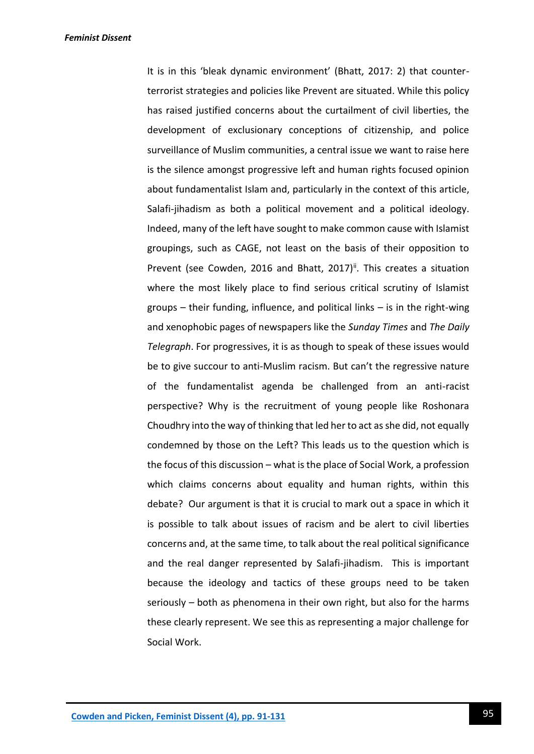It is in this 'bleak dynamic environment' (Bhatt, 2017: 2) that counterterrorist strategies and policies like Prevent are situated. While this policy has raised justified concerns about the curtailment of civil liberties, the development of exclusionary conceptions of citizenship, and police surveillance of Muslim communities, a central issue we want to raise here is the silence amongst progressive left and human rights focused opinion about fundamentalist Islam and, particularly in the context of this article, Salafi-jihadism as both a political movement and a political ideology. Indeed, many of the left have sought to make common cause with Islamist groupings, such as CAGE, not least on the basis of their opposition to Prevent (see Cowden, 2016 and Bhatt, 2017)<sup>ii</sup>. This creates a situation where the most likely place to find serious critical scrutiny of Islamist groups – their funding, influence, and political links – is in the right-wing and xenophobic pages of newspapers like the *Sunday Times* and *The Daily Telegraph*. For progressives, it is as though to speak of these issues would be to give succour to anti-Muslim racism. But can't the regressive nature of the fundamentalist agenda be challenged from an anti-racist perspective? Why is the recruitment of young people like Roshonara Choudhry into the way of thinking that led her to act as she did, not equally condemned by those on the Left? This leads us to the question which is the focus of this discussion – what is the place of Social Work, a profession which claims concerns about equality and human rights, within this debate? Our argument is that it is crucial to mark out a space in which it is possible to talk about issues of racism and be alert to civil liberties concerns and, at the same time, to talk about the real political significance and the real danger represented by Salafi-jihadism. This is important because the ideology and tactics of these groups need to be taken seriously – both as phenomena in their own right, but also for the harms these clearly represent. We see this as representing a major challenge for Social Work.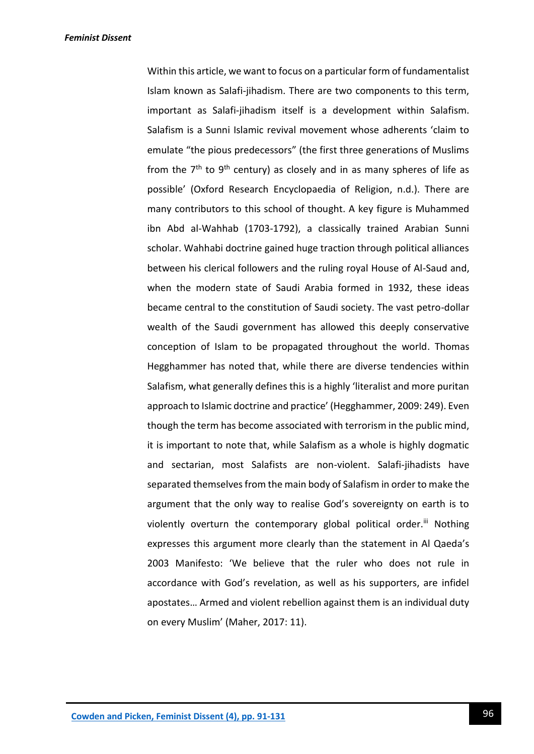Within this article, we want to focus on a particular form of fundamentalist Islam known as Salafi-jihadism. There are two components to this term, important as Salafi-jihadism itself is a development within Salafism. Salafism is a Sunni Islamic revival movement whose adherents 'claim to emulate "the pious predecessors" (the first three generations of Muslims from the  $7<sup>th</sup>$  to  $9<sup>th</sup>$  century) as closely and in as many spheres of life as possible' (Oxford Research Encyclopaedia of Religion, n.d.). There are many contributors to this school of thought. A key figure is Muhammed ibn Abd al-Wahhab (1703-1792), a classically trained Arabian Sunni scholar. Wahhabi doctrine gained huge traction through political alliances between his clerical followers and the ruling royal House of Al-Saud and, when the modern state of Saudi Arabia formed in 1932, these ideas became central to the constitution of Saudi society. The vast petro-dollar wealth of the Saudi government has allowed this deeply conservative conception of Islam to be propagated throughout the world. Thomas Hegghammer has noted that, while there are diverse tendencies within Salafism, what generally defines this is a highly 'literalist and more puritan approach to Islamic doctrine and practice' (Hegghammer, 2009: 249). Even though the term has become associated with terrorism in the public mind, it is important to note that, while Salafism as a whole is highly dogmatic and sectarian, most Salafists are non-violent. Salafi-jihadists have separated themselves from the main body of Salafism in order to make the argument that the only way to realise God's sovereignty on earth is to violently overturn the contemporary global political order.<sup>iii</sup> Nothing expresses this argument more clearly than the statement in Al Qaeda's 2003 Manifesto: 'We believe that the ruler who does not rule in accordance with God's revelation, as well as his supporters, are infidel apostates… Armed and violent rebellion against them is an individual duty on every Muslim' (Maher, 2017: 11).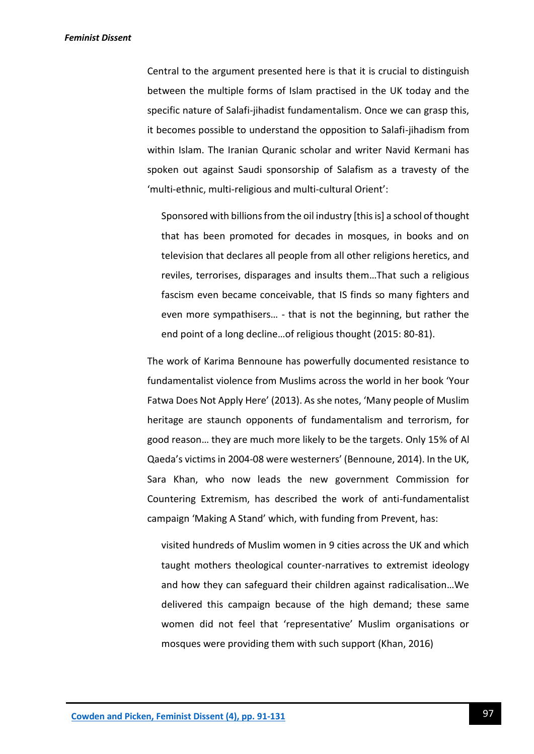Central to the argument presented here is that it is crucial to distinguish between the multiple forms of Islam practised in the UK today and the specific nature of Salafi-jihadist fundamentalism. Once we can grasp this, it becomes possible to understand the opposition to Salafi-jihadism from within Islam. The Iranian Quranic scholar and writer Navid Kermani has spoken out against Saudi sponsorship of Salafism as a travesty of the 'multi-ethnic, multi-religious and multi-cultural Orient':

Sponsored with billions from the oil industry [this is] a school of thought that has been promoted for decades in mosques, in books and on television that declares all people from all other religions heretics, and reviles, terrorises, disparages and insults them…That such a religious fascism even became conceivable, that IS finds so many fighters and even more sympathisers… - that is not the beginning, but rather the end point of a long decline…of religious thought (2015: 80-81).

The work of Karima Bennoune has powerfully documented resistance to fundamentalist violence from Muslims across the world in her book 'Your Fatwa Does Not Apply Here' (2013). As she notes, 'Many people of Muslim heritage are staunch opponents of fundamentalism and terrorism, for good reason… they are much more likely to be the targets. Only 15% of Al Qaeda's victims in 2004-08 were westerners' (Bennoune, 2014). In the UK, Sara Khan, who now leads the new government Commission for Countering Extremism, has described the work of anti-fundamentalist campaign 'Making A Stand' which, with funding from Prevent, has:

visited hundreds of Muslim women in 9 cities across the UK and which taught mothers theological counter-narratives to extremist ideology and how they can safeguard their children against radicalisation…We delivered this campaign because of the high demand; these same women did not feel that 'representative' Muslim organisations or mosques were providing them with such support (Khan, 2016)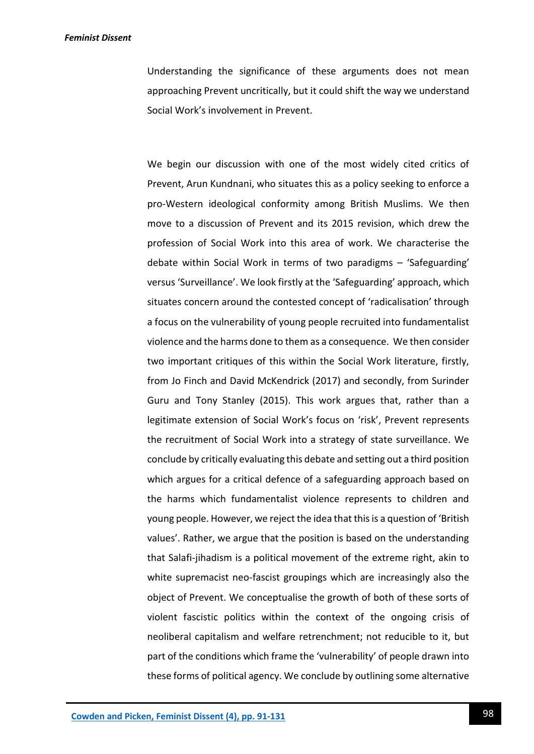Understanding the significance of these arguments does not mean approaching Prevent uncritically, but it could shift the way we understand Social Work's involvement in Prevent.

We begin our discussion with one of the most widely cited critics of Prevent, Arun Kundnani, who situates this as a policy seeking to enforce a pro-Western ideological conformity among British Muslims. We then move to a discussion of Prevent and its 2015 revision, which drew the profession of Social Work into this area of work. We characterise the debate within Social Work in terms of two paradigms – 'Safeguarding' versus 'Surveillance'. We look firstly at the 'Safeguarding' approach, which situates concern around the contested concept of 'radicalisation' through a focus on the vulnerability of young people recruited into fundamentalist violence and the harms done to them as a consequence. We then consider two important critiques of this within the Social Work literature, firstly, from Jo Finch and David McKendrick (2017) and secondly, from Surinder Guru and Tony Stanley (2015). This work argues that, rather than a legitimate extension of Social Work's focus on 'risk', Prevent represents the recruitment of Social Work into a strategy of state surveillance. We conclude by critically evaluating this debate and setting out a third position which argues for a critical defence of a safeguarding approach based on the harms which fundamentalist violence represents to children and young people. However, we reject the idea that this is a question of 'British values'. Rather, we argue that the position is based on the understanding that Salafi-jihadism is a political movement of the extreme right, akin to white supremacist neo-fascist groupings which are increasingly also the object of Prevent. We conceptualise the growth of both of these sorts of violent fascistic politics within the context of the ongoing crisis of neoliberal capitalism and welfare retrenchment; not reducible to it, but part of the conditions which frame the 'vulnerability' of people drawn into these forms of political agency. We conclude by outlining some alternative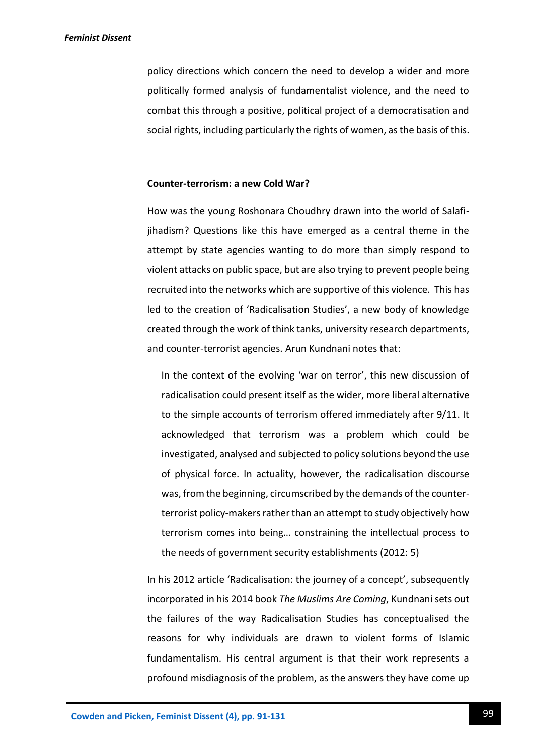policy directions which concern the need to develop a wider and more politically formed analysis of fundamentalist violence, and the need to combat this through a positive, political project of a democratisation and social rights, including particularly the rights of women, as the basis of this.

#### **Counter-terrorism: a new Cold War?**

How was the young Roshonara Choudhry drawn into the world of Salafijihadism? Questions like this have emerged as a central theme in the attempt by state agencies wanting to do more than simply respond to violent attacks on public space, but are also trying to prevent people being recruited into the networks which are supportive of this violence. This has led to the creation of 'Radicalisation Studies', a new body of knowledge created through the work of think tanks, university research departments, and counter-terrorist agencies. Arun Kundnani notes that:

In the context of the evolving 'war on terror', this new discussion of radicalisation could present itself as the wider, more liberal alternative to the simple accounts of terrorism offered immediately after 9/11. It acknowledged that terrorism was a problem which could be investigated, analysed and subjected to policy solutions beyond the use of physical force. In actuality, however, the radicalisation discourse was, from the beginning, circumscribed by the demands of the counterterrorist policy-makers rather than an attempt to study objectively how terrorism comes into being… constraining the intellectual process to the needs of government security establishments (2012: 5)

In his 2012 article 'Radicalisation: the journey of a concept', subsequently incorporated in his 2014 book *The Muslims Are Coming*, Kundnani sets out the failures of the way Radicalisation Studies has conceptualised the reasons for why individuals are drawn to violent forms of Islamic fundamentalism. His central argument is that their work represents a profound misdiagnosis of the problem, as the answers they have come up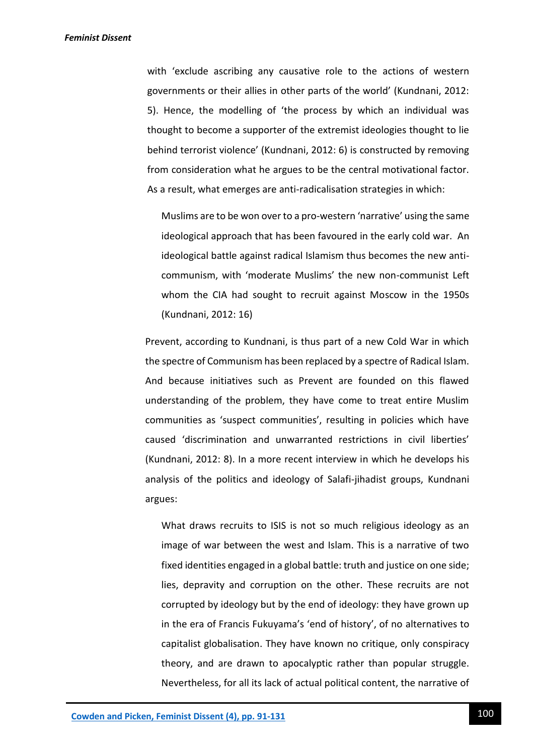with 'exclude ascribing any causative role to the actions of western governments or their allies in other parts of the world' (Kundnani, 2012: 5). Hence, the modelling of 'the process by which an individual was thought to become a supporter of the extremist ideologies thought to lie behind terrorist violence' (Kundnani, 2012: 6) is constructed by removing from consideration what he argues to be the central motivational factor. As a result, what emerges are anti-radicalisation strategies in which:

Muslims are to be won over to a pro-western 'narrative' using the same ideological approach that has been favoured in the early cold war. An ideological battle against radical Islamism thus becomes the new anticommunism, with 'moderate Muslims' the new non-communist Left whom the CIA had sought to recruit against Moscow in the 1950s (Kundnani, 2012: 16)

Prevent, according to Kundnani, is thus part of a new Cold War in which the spectre of Communism has been replaced by a spectre of Radical Islam. And because initiatives such as Prevent are founded on this flawed understanding of the problem, they have come to treat entire Muslim communities as 'suspect communities', resulting in policies which have caused 'discrimination and unwarranted restrictions in civil liberties' (Kundnani, 2012: 8). In a more recent interview in which he develops his analysis of the politics and ideology of Salafi-jihadist groups, Kundnani argues:

What draws recruits to ISIS is not so much religious ideology as an image of war between the west and Islam. This is a narrative of two fixed identities engaged in a global battle: truth and justice on one side; lies, depravity and corruption on the other. These recruits are not corrupted by ideology but by the end of ideology: they have grown up in the era of Francis Fukuyama's 'end of history', of no alternatives to capitalist globalisation. They have known no critique, only conspiracy theory, and are drawn to apocalyptic rather than popular struggle. Nevertheless, for all its lack of actual political content, the narrative of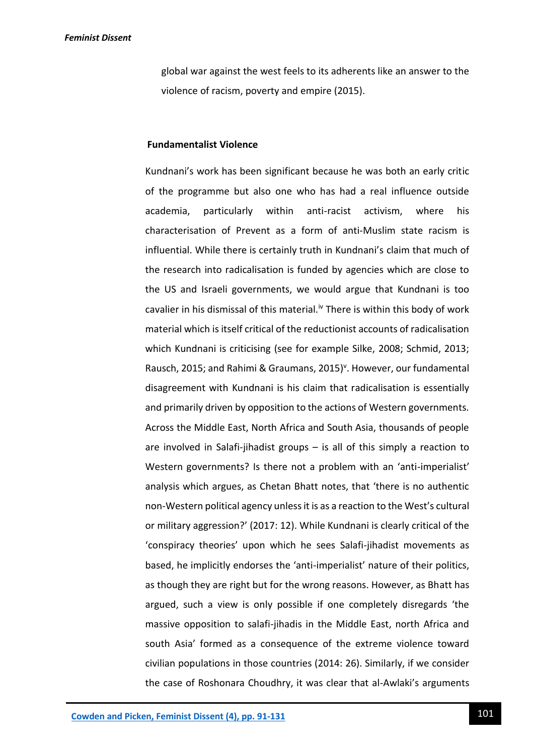global war against the west feels to its adherents like an answer to the violence of racism, poverty and empire (2015).

# **Fundamentalist Violence**

Kundnani's work has been significant because he was both an early critic of the programme but also one who has had a real influence outside academia, particularly within anti-racist activism, where his characterisation of Prevent as a form of anti-Muslim state racism is influential. While there is certainly truth in Kundnani's claim that much of the research into radicalisation is funded by agencies which are close to the US and Israeli governments, we would argue that Kundnani is too cavalier in his dismissal of this material.<sup>iv</sup> There is within this body of work material which is itself critical of the reductionist accounts of radicalisation which Kundnani is criticising (see for example Silke, 2008; Schmid, 2013; Rausch, 2015; and Rahimi & Graumans, 2015)<sup>v</sup>. However, our fundamental disagreement with Kundnani is his claim that radicalisation is essentially and primarily driven by opposition to the actions of Western governments. Across the Middle East, North Africa and South Asia, thousands of people are involved in Salafi-jihadist groups – is all of this simply a reaction to Western governments? Is there not a problem with an 'anti-imperialist' analysis which argues, as Chetan Bhatt notes, that 'there is no authentic non-Western political agency unless it is as a reaction to the West's cultural or military aggression?' (2017: 12). While Kundnani is clearly critical of the 'conspiracy theories' upon which he sees Salafi-jihadist movements as based, he implicitly endorses the 'anti-imperialist' nature of their politics, as though they are right but for the wrong reasons. However, as Bhatt has argued, such a view is only possible if one completely disregards 'the massive opposition to salafi-jihadis in the Middle East, north Africa and south Asia' formed as a consequence of the extreme violence toward civilian populations in those countries (2014: 26). Similarly, if we consider the case of Roshonara Choudhry, it was clear that al-Awlaki's arguments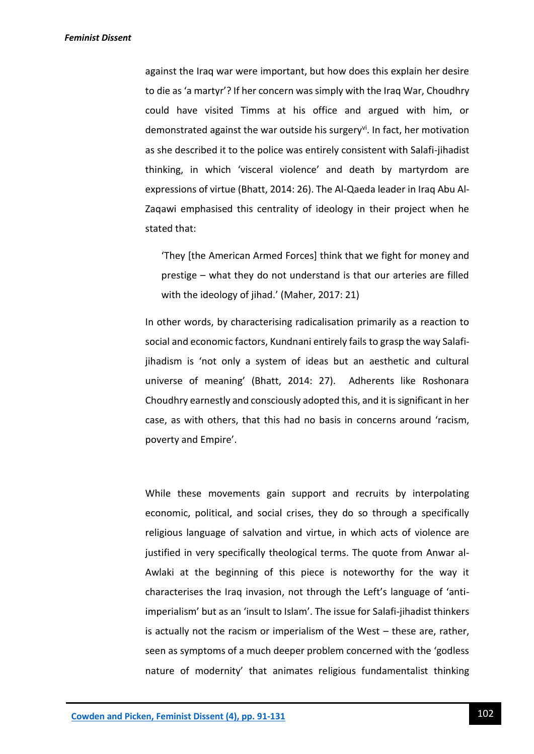against the Iraq war were important, but how does this explain her desire to die as 'a martyr'? If her concern was simply with the Iraq War, Choudhry could have visited Timms at his office and argued with him, or demonstrated against the war outside his surgery<sup>vi</sup>. In fact, her motivation as she described it to the police was entirely consistent with Salafi-jihadist thinking, in which 'visceral violence' and death by martyrdom are expressions of virtue (Bhatt, 2014: 26). The Al-Qaeda leader in Iraq Abu Al-Zaqawi emphasised this centrality of ideology in their project when he stated that:

'They [the American Armed Forces] think that we fight for money and prestige – what they do not understand is that our arteries are filled with the ideology of jihad.' (Maher, 2017: 21)

In other words, by characterising radicalisation primarily as a reaction to social and economic factors, Kundnani entirely fails to grasp the way Salafijihadism is 'not only a system of ideas but an aesthetic and cultural universe of meaning' (Bhatt, 2014: 27). Adherents like Roshonara Choudhry earnestly and consciously adopted this, and it is significant in her case, as with others, that this had no basis in concerns around 'racism, poverty and Empire'.

While these movements gain support and recruits by interpolating economic, political, and social crises, they do so through a specifically religious language of salvation and virtue, in which acts of violence are justified in very specifically theological terms. The quote from Anwar al-Awlaki at the beginning of this piece is noteworthy for the way it characterises the Iraq invasion, not through the Left's language of 'antiimperialism' but as an 'insult to Islam'. The issue for Salafi-jihadist thinkers is actually not the racism or imperialism of the West – these are, rather, seen as symptoms of a much deeper problem concerned with the 'godless nature of modernity' that animates religious fundamentalist thinking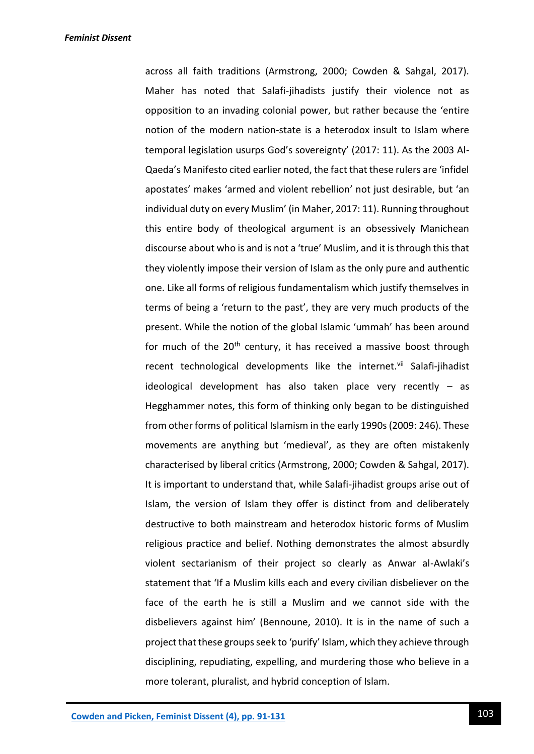across all faith traditions (Armstrong, 2000; Cowden & Sahgal, 2017). Maher has noted that Salafi-jihadists justify their violence not as opposition to an invading colonial power, but rather because the 'entire notion of the modern nation-state is a heterodox insult to Islam where temporal legislation usurps God's sovereignty' (2017: 11). As the 2003 Al-Qaeda's Manifesto cited earlier noted, the fact that these rulers are 'infidel apostates' makes 'armed and violent rebellion' not just desirable, but 'an individual duty on every Muslim' (in Maher, 2017: 11). Running throughout this entire body of theological argument is an obsessively Manichean discourse about who is and is not a 'true' Muslim, and it is through this that they violently impose their version of Islam as the only pure and authentic one. Like all forms of religious fundamentalism which justify themselves in terms of being a 'return to the past', they are very much products of the present. While the notion of the global Islamic 'ummah' has been around for much of the 20<sup>th</sup> century, it has received a massive boost through recent technological developments like the internet.<sup>vii</sup> Salafi-jihadist ideological development has also taken place very recently – as Hegghammer notes, this form of thinking only began to be distinguished from other forms of political Islamism in the early 1990s (2009: 246). These movements are anything but 'medieval', as they are often mistakenly characterised by liberal critics (Armstrong, 2000; Cowden & Sahgal, 2017). It is important to understand that, while Salafi-jihadist groups arise out of Islam, the version of Islam they offer is distinct from and deliberately destructive to both mainstream and heterodox historic forms of Muslim religious practice and belief. Nothing demonstrates the almost absurdly violent sectarianism of their project so clearly as Anwar al-Awlaki's statement that 'If a Muslim kills each and every civilian disbeliever on the face of the earth he is still a Muslim and we cannot side with the disbelievers against him' (Bennoune, 2010). It is in the name of such a project that these groups seek to 'purify' Islam, which they achieve through disciplining, repudiating, expelling, and murdering those who believe in a more tolerant, pluralist, and hybrid conception of Islam.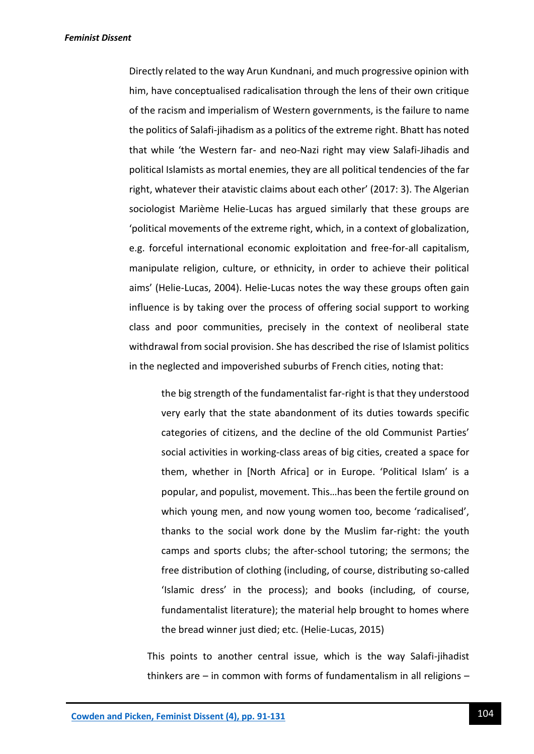Directly related to the way Arun Kundnani, and much progressive opinion with him, have conceptualised radicalisation through the lens of their own critique of the racism and imperialism of Western governments, is the failure to name the politics of Salafi-jihadism as a politics of the extreme right. Bhatt has noted that while 'the Western far- and neo-Nazi right may view Salafi-Jihadis and political Islamists as mortal enemies, they are all political tendencies of the far right, whatever their atavistic claims about each other' (2017: 3). The Algerian sociologist Marième Helie-Lucas has argued similarly that these groups are 'political movements of the extreme right, which, in a context of globalization, e.g. forceful international economic exploitation and free-for-all capitalism, manipulate religion, culture, or ethnicity, in order to achieve their political aims' (Helie-Lucas, 2004). Helie-Lucas notes the way these groups often gain influence is by taking over the process of offering social support to working class and poor communities, precisely in the context of neoliberal state withdrawal from social provision. She has described the rise of Islamist politics in the neglected and impoverished suburbs of French cities, noting that:

the big strength of the fundamentalist far-right is that they understood very early that the state abandonment of its duties towards specific categories of citizens, and the decline of the old Communist Parties' social activities in working-class areas of big cities, created a space for them, whether in [North Africa] or in Europe. 'Political Islam' is a popular, and populist, movement. This…has been the fertile ground on which young men, and now young women too, become 'radicalised', thanks to the social work done by the Muslim far-right: the youth camps and sports clubs; the after-school tutoring; the sermons; the free distribution of clothing (including, of course, distributing so-called 'Islamic dress' in the process); and books (including, of course, fundamentalist literature); the material help brought to homes where the bread winner just died; etc. (Helie-Lucas, 2015)

This points to another central issue, which is the way Salafi-jihadist thinkers are – in common with forms of fundamentalism in all religions –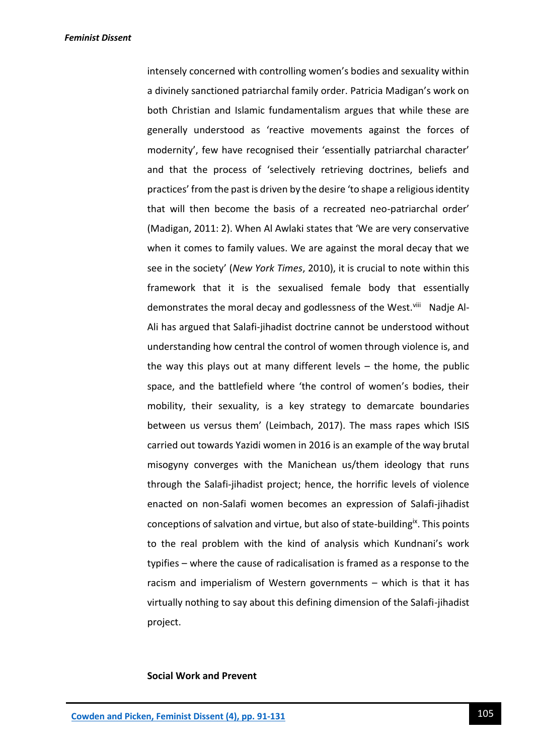intensely concerned with controlling women's bodies and sexuality within a divinely sanctioned patriarchal family order. Patricia Madigan's work on both Christian and Islamic fundamentalism argues that while these are generally understood as 'reactive movements against the forces of modernity', few have recognised their 'essentially patriarchal character' and that the process of 'selectively retrieving doctrines, beliefs and practices' from the past is driven by the desire 'to shape a religious identity that will then become the basis of a recreated neo-patriarchal order' (Madigan, 2011: 2). When Al Awlaki states that 'We are very conservative when it comes to family values. We are against the moral decay that we see in the society' (*New York Times*, 2010), it is crucial to note within this framework that it is the sexualised female body that essentially demonstrates the moral decay and godlessness of the West.<sup>viii</sup> Nadje Al-Ali has argued that Salafi-jihadist doctrine cannot be understood without understanding how central the control of women through violence is, and the way this plays out at many different levels – the home, the public space, and the battlefield where 'the control of women's bodies, their mobility, their sexuality, is a key strategy to demarcate boundaries between us versus them' (Leimbach, 2017). The mass rapes which ISIS carried out towards Yazidi women in 2016 is an example of the way brutal misogyny converges with the Manichean us/them ideology that runs through the Salafi-jihadist project; hence, the horrific levels of violence enacted on non-Salafi women becomes an expression of Salafi-jihadist conceptions of salvation and virtue, but also of state-building<sup>ix</sup>. This points to the real problem with the kind of analysis which Kundnani's work typifies – where the cause of radicalisation is framed as a response to the racism and imperialism of Western governments – which is that it has virtually nothing to say about this defining dimension of the Salafi-jihadist project.

#### **Social Work and Prevent**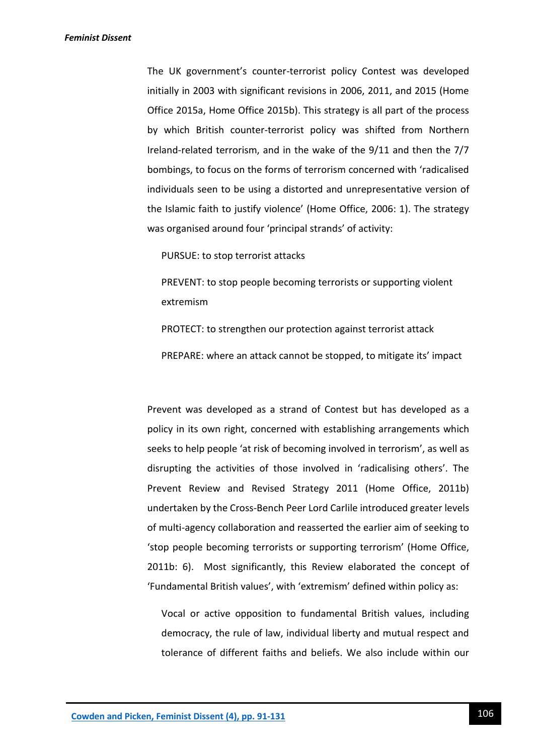The UK government's counter-terrorist policy Contest was developed initially in 2003 with significant revisions in 2006, 2011, and 2015 (Home Office 2015a, Home Office 2015b). This strategy is all part of the process by which British counter-terrorist policy was shifted from Northern Ireland-related terrorism, and in the wake of the 9/11 and then the 7/7 bombings, to focus on the forms of terrorism concerned with 'radicalised individuals seen to be using a distorted and unrepresentative version of the Islamic faith to justify violence' (Home Office, 2006: 1). The strategy was organised around four 'principal strands' of activity:

PURSUE: to stop terrorist attacks

PREVENT: to stop people becoming terrorists or supporting violent extremism

PROTECT: to strengthen our protection against terrorist attack

PREPARE: where an attack cannot be stopped, to mitigate its' impact

Prevent was developed as a strand of Contest but has developed as a policy in its own right, concerned with establishing arrangements which seeks to help people 'at risk of becoming involved in terrorism', as well as disrupting the activities of those involved in 'radicalising others'. The Prevent Review and Revised Strategy 2011 (Home Office, 2011b) undertaken by the Cross-Bench Peer Lord Carlile introduced greater levels of multi-agency collaboration and reasserted the earlier aim of seeking to 'stop people becoming terrorists or supporting terrorism' (Home Office, 2011b: 6). Most significantly, this Review elaborated the concept of 'Fundamental British values', with 'extremism' defined within policy as:

Vocal or active opposition to fundamental British values, including democracy, the rule of law, individual liberty and mutual respect and tolerance of different faiths and beliefs. We also include within our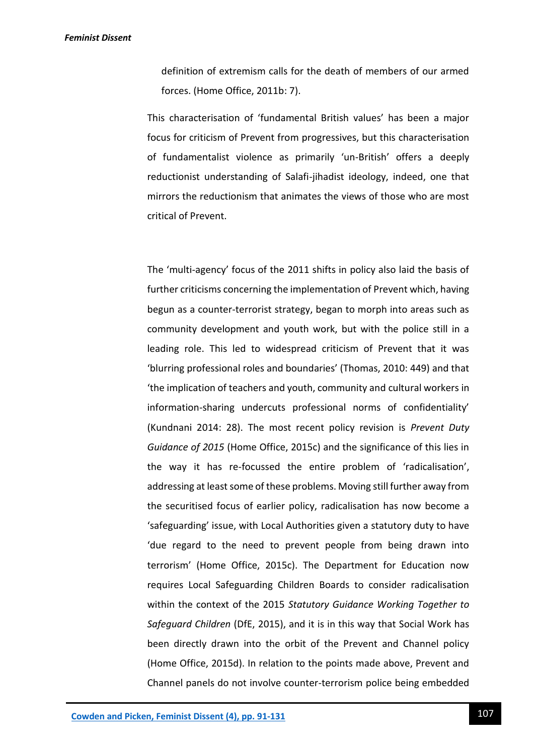definition of extremism calls for the death of members of our armed forces. (Home Office, 2011b: 7).

This characterisation of 'fundamental British values' has been a major focus for criticism of Prevent from progressives, but this characterisation of fundamentalist violence as primarily 'un-British' offers a deeply reductionist understanding of Salafi-jihadist ideology, indeed, one that mirrors the reductionism that animates the views of those who are most critical of Prevent.

The 'multi-agency' focus of the 2011 shifts in policy also laid the basis of further criticisms concerning the implementation of Prevent which, having begun as a counter-terrorist strategy, began to morph into areas such as community development and youth work, but with the police still in a leading role. This led to widespread criticism of Prevent that it was 'blurring professional roles and boundaries' (Thomas, 2010: 449) and that 'the implication of teachers and youth, community and cultural workers in information-sharing undercuts professional norms of confidentiality' (Kundnani 2014: 28). The most recent policy revision is *Prevent Duty Guidance of 2015* (Home Office, 2015c) and the significance of this lies in the way it has re-focussed the entire problem of 'radicalisation', addressing at least some of these problems. Moving still further away from the securitised focus of earlier policy, radicalisation has now become a 'safeguarding' issue, with Local Authorities given a statutory duty to have 'due regard to the need to prevent people from being drawn into terrorism' (Home Office, 2015c). The Department for Education now requires Local Safeguarding Children Boards to consider radicalisation within the context of the 2015 *Statutory Guidance Working Together to Safeguard Children* (DfE, 2015), and it is in this way that Social Work has been directly drawn into the orbit of the Prevent and Channel policy (Home Office, 2015d). In relation to the points made above, Prevent and Channel panels do not involve counter-terrorism police being embedded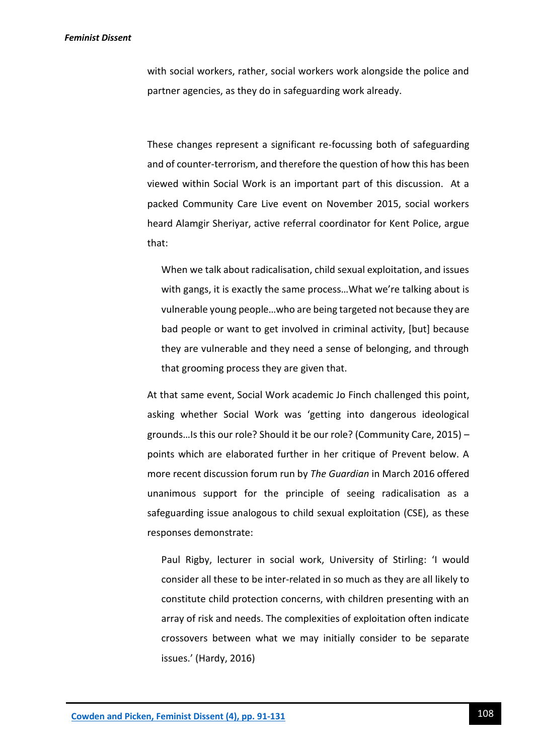with social workers, rather, social workers work alongside the police and partner agencies, as they do in safeguarding work already.

These changes represent a significant re-focussing both of safeguarding and of counter-terrorism, and therefore the question of how this has been viewed within Social Work is an important part of this discussion. At a packed Community Care Live event on November 2015, social workers heard Alamgir Sheriyar, active referral coordinator for Kent Police, argue that:

When we talk about radicalisation, child sexual exploitation, and issues with gangs, it is exactly the same process…What we're talking about is vulnerable young people…who are being targeted not because they are bad people or want to get involved in criminal activity, [but] because they are vulnerable and they need a sense of belonging, and through that grooming process they are given that.

At that same event, Social Work academic Jo Finch challenged this point, asking whether Social Work was 'getting into dangerous ideological grounds…Is this our role? Should it be our role? (Community Care, 2015) – points which are elaborated further in her critique of Prevent below. A more recent discussion forum run by *The Guardian* in March 2016 offered unanimous support for the principle of seeing radicalisation as a safeguarding issue analogous to child sexual exploitation (CSE), as these responses demonstrate:

Paul Rigby, lecturer in social work, University of Stirling: 'I would consider all these to be inter-related in so much as they are all likely to constitute child protection concerns, with children presenting with an array of risk and needs. The complexities of exploitation often indicate crossovers between what we may initially consider to be separate issues.' (Hardy, 2016)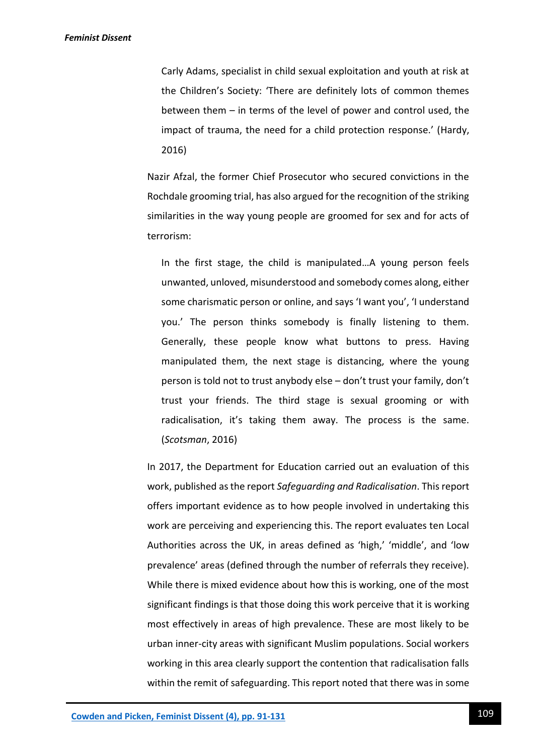Carly Adams, specialist in child sexual exploitation and youth at risk at the Children's Society: 'There are definitely lots of common themes between them – in terms of the level of power and control used, the impact of trauma, the need for a child protection response.' (Hardy, 2016)

Nazir Afzal, the former Chief Prosecutor who secured convictions in the Rochdale grooming trial, has also argued for the recognition of the striking similarities in the way young people are groomed for sex and for acts of terrorism:

In the first stage, the child is manipulated…A young person feels unwanted, unloved, misunderstood and somebody comes along, either some charismatic person or online, and says 'I want you', 'I understand you.' The person thinks somebody is finally listening to them. Generally, these people know what buttons to press. Having manipulated them, the next stage is distancing, where the young person is told not to trust anybody else – don't trust your family, don't trust your friends. The third stage is sexual grooming or with radicalisation, it's taking them away. The process is the same. (*Scotsman*, 2016)

In 2017, the Department for Education carried out an evaluation of this work, published as the report *Safeguarding and Radicalisation*. This report offers important evidence as to how people involved in undertaking this work are perceiving and experiencing this. The report evaluates ten Local Authorities across the UK, in areas defined as 'high,' 'middle', and 'low prevalence' areas (defined through the number of referrals they receive). While there is mixed evidence about how this is working, one of the most significant findings is that those doing this work perceive that it is working most effectively in areas of high prevalence. These are most likely to be urban inner-city areas with significant Muslim populations. Social workers working in this area clearly support the contention that radicalisation falls within the remit of safeguarding. This report noted that there was in some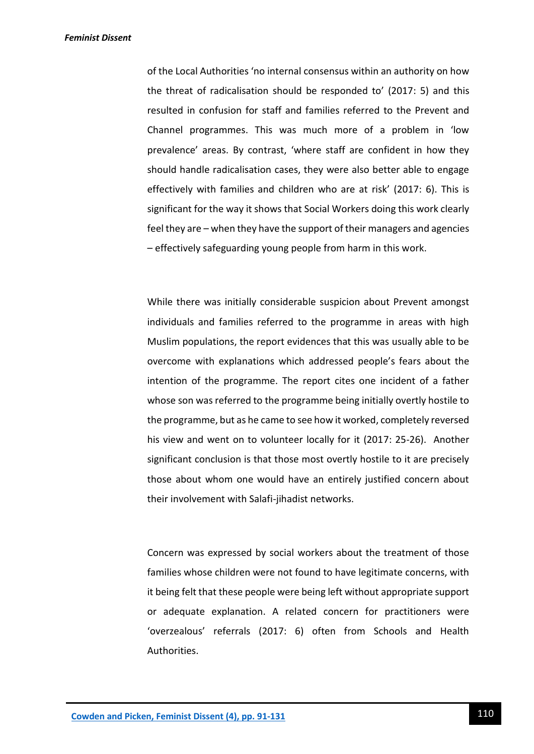of the Local Authorities 'no internal consensus within an authority on how the threat of radicalisation should be responded to' (2017: 5) and this resulted in confusion for staff and families referred to the Prevent and Channel programmes. This was much more of a problem in 'low prevalence' areas. By contrast, 'where staff are confident in how they should handle radicalisation cases, they were also better able to engage effectively with families and children who are at risk' (2017: 6). This is significant for the way it shows that Social Workers doing this work clearly feel they are – when they have the support of their managers and agencies – effectively safeguarding young people from harm in this work.

While there was initially considerable suspicion about Prevent amongst individuals and families referred to the programme in areas with high Muslim populations, the report evidences that this was usually able to be overcome with explanations which addressed people's fears about the intention of the programme. The report cites one incident of a father whose son was referred to the programme being initially overtly hostile to the programme, but as he came to see how it worked, completely reversed his view and went on to volunteer locally for it (2017: 25-26). Another significant conclusion is that those most overtly hostile to it are precisely those about whom one would have an entirely justified concern about their involvement with Salafi-jihadist networks.

Concern was expressed by social workers about the treatment of those families whose children were not found to have legitimate concerns, with it being felt that these people were being left without appropriate support or adequate explanation. A related concern for practitioners were 'overzealous' referrals (2017: 6) often from Schools and Health Authorities.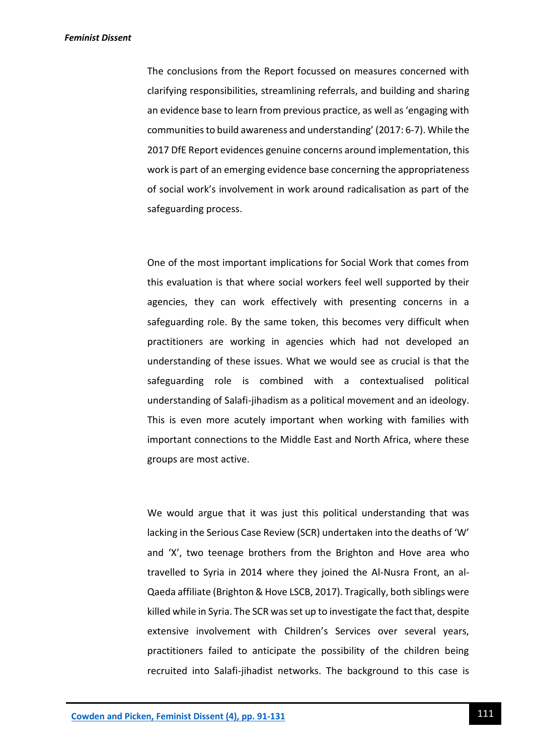The conclusions from the Report focussed on measures concerned with clarifying responsibilities, streamlining referrals, and building and sharing an evidence base to learn from previous practice, as well as 'engaging with communities to build awareness and understanding' (2017: 6-7). While the 2017 DfE Report evidences genuine concerns around implementation, this work is part of an emerging evidence base concerning the appropriateness of social work's involvement in work around radicalisation as part of the safeguarding process.

One of the most important implications for Social Work that comes from this evaluation is that where social workers feel well supported by their agencies, they can work effectively with presenting concerns in a safeguarding role. By the same token, this becomes very difficult when practitioners are working in agencies which had not developed an understanding of these issues. What we would see as crucial is that the safeguarding role is combined with a contextualised political understanding of Salafi-jihadism as a political movement and an ideology. This is even more acutely important when working with families with important connections to the Middle East and North Africa, where these groups are most active.

We would argue that it was just this political understanding that was lacking in the Serious Case Review (SCR) undertaken into the deaths of 'W' and 'X', two teenage brothers from the Brighton and Hove area who travelled to Syria in 2014 where they joined the Al-Nusra Front, an al-Qaeda affiliate (Brighton & Hove LSCB, 2017). Tragically, both siblings were killed while in Syria. The SCR was set up to investigate the fact that, despite extensive involvement with Children's Services over several years, practitioners failed to anticipate the possibility of the children being recruited into Salafi-jihadist networks. The background to this case is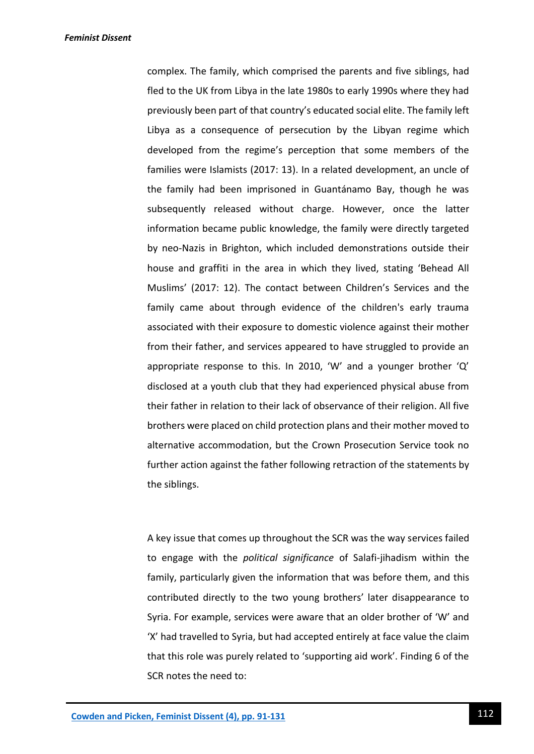complex. The family, which comprised the parents and five siblings, had fled to the UK from Libya in the late 1980s to early 1990s where they had previously been part of that country's educated social elite. The family left Libya as a consequence of persecution by the Libyan regime which developed from the regime's perception that some members of the families were Islamists (2017: 13). In a related development, an uncle of the family had been imprisoned in Guantánamo Bay, though he was subsequently released without charge. However, once the latter information became public knowledge, the family were directly targeted by neo-Nazis in Brighton, which included demonstrations outside their house and graffiti in the area in which they lived, stating 'Behead All Muslims' (2017: 12). The contact between Children's Services and the family came about through evidence of the children's early trauma associated with their exposure to domestic violence against their mother from their father, and services appeared to have struggled to provide an appropriate response to this. In 2010, 'W' and a younger brother 'Q' disclosed at a youth club that they had experienced physical abuse from their father in relation to their lack of observance of their religion. All five brothers were placed on child protection plans and their mother moved to alternative accommodation, but the Crown Prosecution Service took no further action against the father following retraction of the statements by the siblings.

A key issue that comes up throughout the SCR was the way services failed to engage with the *political significance* of Salafi-jihadism within the family, particularly given the information that was before them, and this contributed directly to the two young brothers' later disappearance to Syria. For example, services were aware that an older brother of 'W' and 'X' had travelled to Syria, but had accepted entirely at face value the claim that this role was purely related to 'supporting aid work'. Finding 6 of the SCR notes the need to: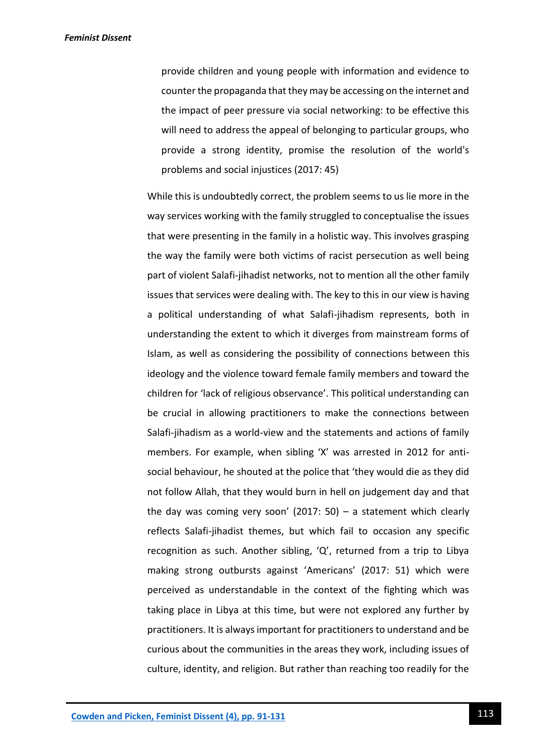provide children and young people with information and evidence to counter the propaganda that they may be accessing on the internet and the impact of peer pressure via social networking: to be effective this will need to address the appeal of belonging to particular groups, who provide a strong identity, promise the resolution of the world's problems and social injustices (2017: 45)

While this is undoubtedly correct, the problem seems to us lie more in the way services working with the family struggled to conceptualise the issues that were presenting in the family in a holistic way. This involves grasping the way the family were both victims of racist persecution as well being part of violent Salafi-jihadist networks, not to mention all the other family issues that services were dealing with. The key to this in our view is having a political understanding of what Salafi-jihadism represents, both in understanding the extent to which it diverges from mainstream forms of Islam, as well as considering the possibility of connections between this ideology and the violence toward female family members and toward the children for 'lack of religious observance'. This political understanding can be crucial in allowing practitioners to make the connections between Salafi-jihadism as a world-view and the statements and actions of family members. For example, when sibling 'X' was arrested in 2012 for antisocial behaviour, he shouted at the police that 'they would die as they did not follow Allah, that they would burn in hell on judgement day and that the day was coming very soon' (2017: 50) – a statement which clearly reflects Salafi-jihadist themes, but which fail to occasion any specific recognition as such. Another sibling, 'Q', returned from a trip to Libya making strong outbursts against 'Americans' (2017: 51) which were perceived as understandable in the context of the fighting which was taking place in Libya at this time, but were not explored any further by practitioners. It is always important for practitioners to understand and be curious about the communities in the areas they work, including issues of culture, identity, and religion. But rather than reaching too readily for the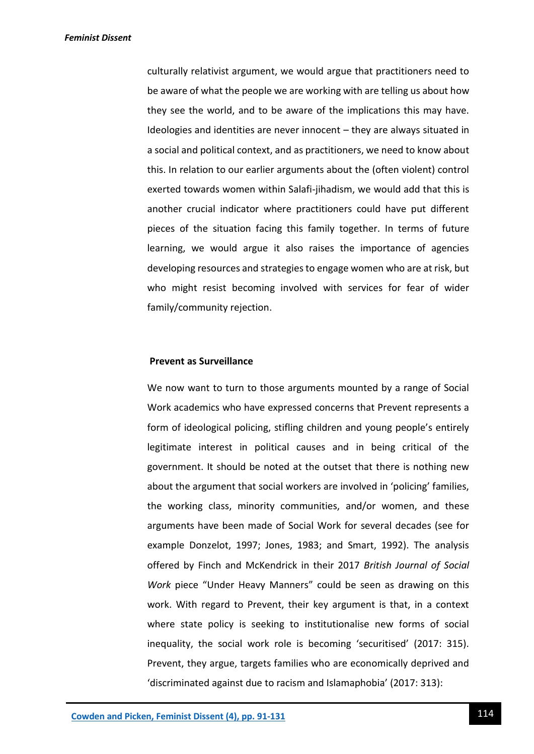culturally relativist argument, we would argue that practitioners need to be aware of what the people we are working with are telling us about how they see the world, and to be aware of the implications this may have. Ideologies and identities are never innocent – they are always situated in a social and political context, and as practitioners, we need to know about this. In relation to our earlier arguments about the (often violent) control exerted towards women within Salafi-jihadism, we would add that this is another crucial indicator where practitioners could have put different pieces of the situation facing this family together. In terms of future learning, we would argue it also raises the importance of agencies developing resources and strategies to engage women who are at risk, but who might resist becoming involved with services for fear of wider family/community rejection.

#### **Prevent as Surveillance**

We now want to turn to those arguments mounted by a range of Social Work academics who have expressed concerns that Prevent represents a form of ideological policing, stifling children and young people's entirely legitimate interest in political causes and in being critical of the government. It should be noted at the outset that there is nothing new about the argument that social workers are involved in 'policing' families, the working class, minority communities, and/or women, and these arguments have been made of Social Work for several decades (see for example Donzelot, 1997; Jones, 1983; and Smart, 1992). The analysis offered by Finch and McKendrick in their 2017 *British Journal of Social Work* piece "Under Heavy Manners" could be seen as drawing on this work. With regard to Prevent, their key argument is that, in a context where state policy is seeking to institutionalise new forms of social inequality, the social work role is becoming 'securitised' (2017: 315). Prevent, they argue, targets families who are economically deprived and 'discriminated against due to racism and Islamaphobia' (2017: 313):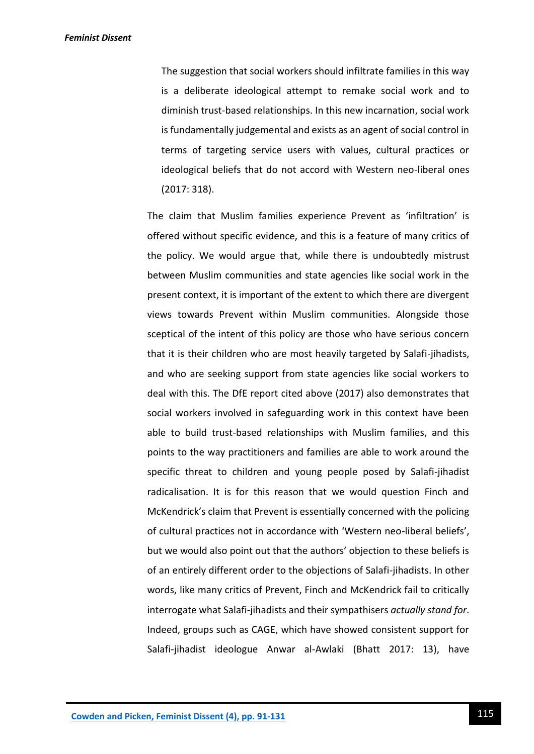The suggestion that social workers should infiltrate families in this way is a deliberate ideological attempt to remake social work and to diminish trust-based relationships. In this new incarnation, social work is fundamentally judgemental and exists as an agent of social control in terms of targeting service users with values, cultural practices or ideological beliefs that do not accord with Western neo-liberal ones (2017: 318).

The claim that Muslim families experience Prevent as 'infiltration' is offered without specific evidence, and this is a feature of many critics of the policy. We would argue that, while there is undoubtedly mistrust between Muslim communities and state agencies like social work in the present context, it is important of the extent to which there are divergent views towards Prevent within Muslim communities. Alongside those sceptical of the intent of this policy are those who have serious concern that it is their children who are most heavily targeted by Salafi-jihadists, and who are seeking support from state agencies like social workers to deal with this. The DfE report cited above (2017) also demonstrates that social workers involved in safeguarding work in this context have been able to build trust-based relationships with Muslim families, and this points to the way practitioners and families are able to work around the specific threat to children and young people posed by Salafi-jihadist radicalisation. It is for this reason that we would question Finch and McKendrick's claim that Prevent is essentially concerned with the policing of cultural practices not in accordance with 'Western neo-liberal beliefs', but we would also point out that the authors' objection to these beliefs is of an entirely different order to the objections of Salafi-jihadists. In other words, like many critics of Prevent, Finch and McKendrick fail to critically interrogate what Salafi-jihadists and their sympathisers *actually stand for*. Indeed, groups such as CAGE, which have showed consistent support for Salafi-jihadist ideologue Anwar al-Awlaki (Bhatt 2017: 13), have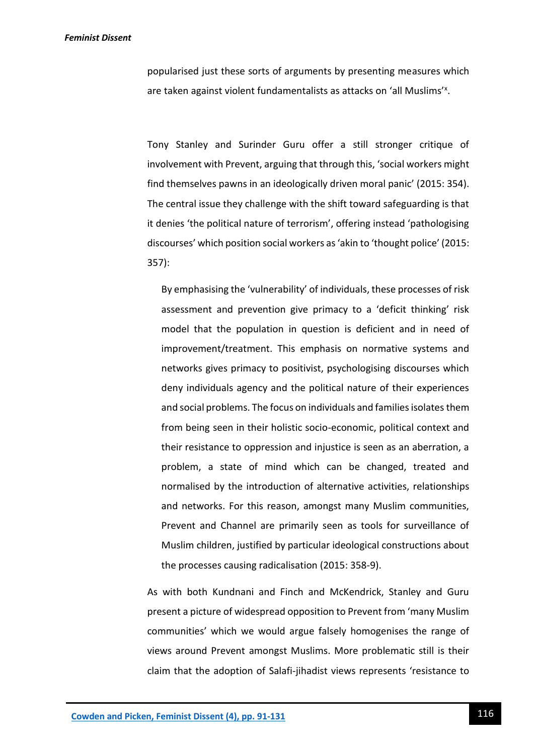popularised just these sorts of arguments by presenting measures which are taken against violent fundamentalists as attacks on 'all Muslims'<sup>x</sup>.

Tony Stanley and Surinder Guru offer a still stronger critique of involvement with Prevent, arguing that through this, 'social workers might find themselves pawns in an ideologically driven moral panic' (2015: 354). The central issue they challenge with the shift toward safeguarding is that it denies 'the political nature of terrorism', offering instead 'pathologising discourses' which position social workers as 'akin to 'thought police' (2015: 357):

By emphasising the 'vulnerability' of individuals, these processes of risk assessment and prevention give primacy to a 'deficit thinking' risk model that the population in question is deficient and in need of improvement/treatment. This emphasis on normative systems and networks gives primacy to positivist, psychologising discourses which deny individuals agency and the political nature of their experiences and social problems. The focus on individuals and families isolates them from being seen in their holistic socio-economic, political context and their resistance to oppression and injustice is seen as an aberration, a problem, a state of mind which can be changed, treated and normalised by the introduction of alternative activities, relationships and networks. For this reason, amongst many Muslim communities, Prevent and Channel are primarily seen as tools for surveillance of Muslim children, justified by particular ideological constructions about the processes causing radicalisation (2015: 358-9).

As with both Kundnani and Finch and McKendrick, Stanley and Guru present a picture of widespread opposition to Prevent from 'many Muslim communities' which we would argue falsely homogenises the range of views around Prevent amongst Muslims. More problematic still is their claim that the adoption of Salafi-jihadist views represents 'resistance to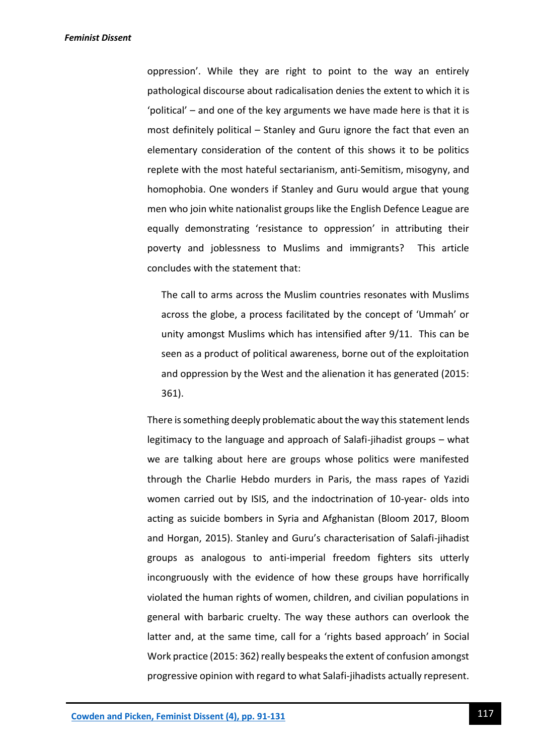oppression'. While they are right to point to the way an entirely pathological discourse about radicalisation denies the extent to which it is 'political' – and one of the key arguments we have made here is that it is most definitely political – Stanley and Guru ignore the fact that even an elementary consideration of the content of this shows it to be politics replete with the most hateful sectarianism, anti-Semitism, misogyny, and homophobia. One wonders if Stanley and Guru would argue that young men who join white nationalist groups like the English Defence League are equally demonstrating 'resistance to oppression' in attributing their poverty and joblessness to Muslims and immigrants? This article concludes with the statement that:

The call to arms across the Muslim countries resonates with Muslims across the globe, a process facilitated by the concept of 'Ummah' or unity amongst Muslims which has intensified after 9/11. This can be seen as a product of political awareness, borne out of the exploitation and oppression by the West and the alienation it has generated (2015: 361).

There is something deeply problematic about the way this statement lends legitimacy to the language and approach of Salafi-jihadist groups – what we are talking about here are groups whose politics were manifested through the Charlie Hebdo murders in Paris, the mass rapes of Yazidi women carried out by ISIS, and the indoctrination of 10-year- olds into acting as suicide bombers in Syria and Afghanistan (Bloom 2017, Bloom and Horgan, 2015). Stanley and Guru's characterisation of Salafi-jihadist groups as analogous to anti-imperial freedom fighters sits utterly incongruously with the evidence of how these groups have horrifically violated the human rights of women, children, and civilian populations in general with barbaric cruelty. The way these authors can overlook the latter and, at the same time, call for a 'rights based approach' in Social Work practice (2015: 362) really bespeaks the extent of confusion amongst progressive opinion with regard to what Salafi-jihadists actually represent.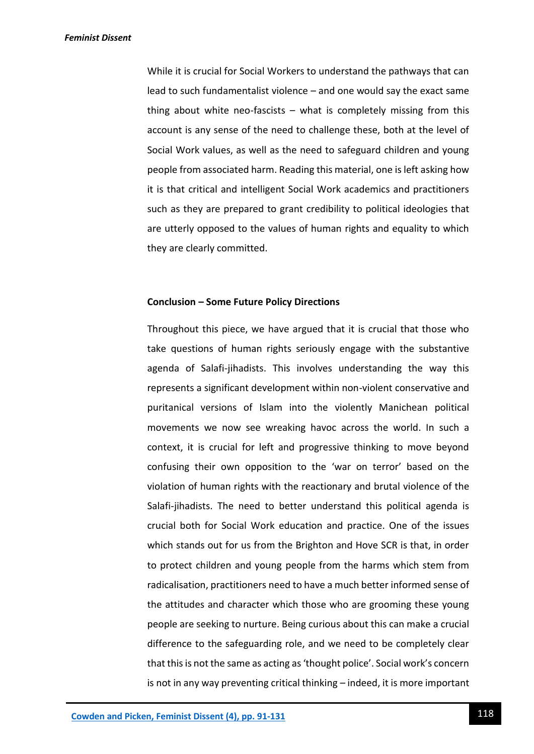While it is crucial for Social Workers to understand the pathways that can lead to such fundamentalist violence – and one would say the exact same thing about white neo-fascists – what is completely missing from this account is any sense of the need to challenge these, both at the level of Social Work values, as well as the need to safeguard children and young people from associated harm. Reading this material, one is left asking how it is that critical and intelligent Social Work academics and practitioners such as they are prepared to grant credibility to political ideologies that are utterly opposed to the values of human rights and equality to which they are clearly committed.

#### **Conclusion – Some Future Policy Directions**

Throughout this piece, we have argued that it is crucial that those who take questions of human rights seriously engage with the substantive agenda of Salafi-jihadists. This involves understanding the way this represents a significant development within non-violent conservative and puritanical versions of Islam into the violently Manichean political movements we now see wreaking havoc across the world. In such a context, it is crucial for left and progressive thinking to move beyond confusing their own opposition to the 'war on terror' based on the violation of human rights with the reactionary and brutal violence of the Salafi-jihadists. The need to better understand this political agenda is crucial both for Social Work education and practice. One of the issues which stands out for us from the Brighton and Hove SCR is that, in order to protect children and young people from the harms which stem from radicalisation, practitioners need to have a much better informed sense of the attitudes and character which those who are grooming these young people are seeking to nurture. Being curious about this can make a crucial difference to the safeguarding role, and we need to be completely clear that this is not the same as acting as 'thought police'. Social work's concern is not in any way preventing critical thinking – indeed, it is more important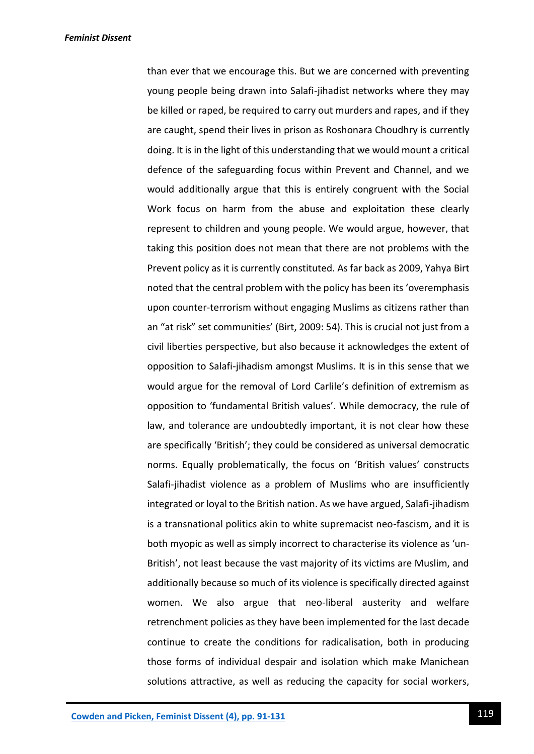than ever that we encourage this. But we are concerned with preventing young people being drawn into Salafi-jihadist networks where they may be killed or raped, be required to carry out murders and rapes, and if they are caught, spend their lives in prison as Roshonara Choudhry is currently doing. It is in the light of this understanding that we would mount a critical defence of the safeguarding focus within Prevent and Channel, and we would additionally argue that this is entirely congruent with the Social Work focus on harm from the abuse and exploitation these clearly represent to children and young people. We would argue, however, that taking this position does not mean that there are not problems with the Prevent policy as it is currently constituted. As far back as 2009, Yahya Birt noted that the central problem with the policy has been its 'overemphasis upon counter-terrorism without engaging Muslims as citizens rather than an "at risk" set communities' (Birt, 2009: 54). This is crucial not just from a civil liberties perspective, but also because it acknowledges the extent of opposition to Salafi-jihadism amongst Muslims. It is in this sense that we would argue for the removal of Lord Carlile's definition of extremism as opposition to 'fundamental British values'. While democracy, the rule of law, and tolerance are undoubtedly important, it is not clear how these are specifically 'British'; they could be considered as universal democratic norms. Equally problematically, the focus on 'British values' constructs Salafi-jihadist violence as a problem of Muslims who are insufficiently integrated or loyal to the British nation. As we have argued, Salafi-jihadism is a transnational politics akin to white supremacist neo-fascism, and it is both myopic as well as simply incorrect to characterise its violence as 'un-British', not least because the vast majority of its victims are Muslim, and additionally because so much of its violence is specifically directed against women. We also argue that neo-liberal austerity and welfare retrenchment policies as they have been implemented for the last decade continue to create the conditions for radicalisation, both in producing those forms of individual despair and isolation which make Manichean solutions attractive, as well as reducing the capacity for social workers,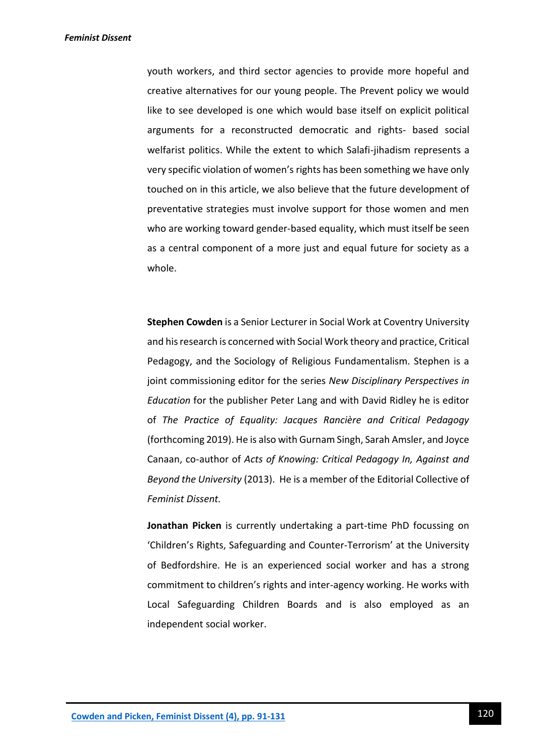youth workers, and third sector agencies to provide more hopeful and creative alternatives for our young people. The Prevent policy we would like to see developed is one which would base itself on explicit political arguments for a reconstructed democratic and rights- based social welfarist politics. While the extent to which Salafi-jihadism represents a very specific violation of women's rights has been something we have only touched on in this article, we also believe that the future development of preventative strategies must involve support for those women and men who are working toward gender-based equality, which must itself be seen as a central component of a more just and equal future for society as a whole.

**Stephen Cowden** is a Senior Lecturer in Social Work at Coventry University and his research is concerned with Social Work theory and practice, Critical Pedagogy, and the Sociology of Religious Fundamentalism. Stephen is a joint commissioning editor for the series *New Disciplinary Perspectives in Education* for the publisher Peter Lang and with David Ridley he is editor of *The Practice of Equality: Jacques Rancière and Critical Pedagogy*  (forthcoming 2019). He is also with Gurnam Singh, Sarah Amsler, and Joyce Canaan, co-author of *Acts of Knowing: Critical Pedagogy In, Against and Beyond the University* (2013). He is a member of the Editorial Collective of *Feminist Dissent.*

**Jonathan Picken** is currently undertaking a part-time PhD focussing on 'Children's Rights, Safeguarding and Counter-Terrorism' at the University of Bedfordshire. He is an experienced social worker and has a strong commitment to children's rights and inter-agency working. He works with Local Safeguarding Children Boards and is also employed as an independent social worker.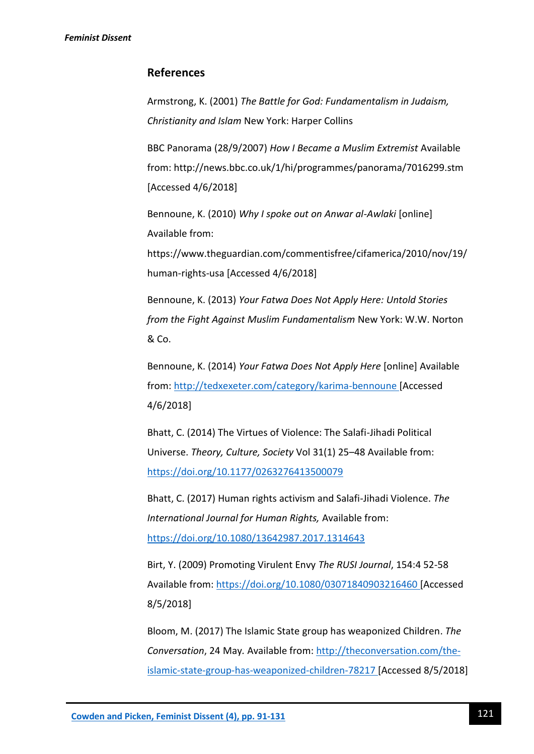# **References**

Armstrong, K. (2001) *The Battle for God: Fundamentalism in Judaism, Christianity and Islam* New York: Harper Collins

BBC Panorama (28/9/2007) *How I Became a Muslim Extremist* Available from: http://news.bbc.co.uk/1/hi/programmes/panorama/7016299.stm [Accessed 4/6/2018]

Bennoune, K. (2010) *Why I spoke out on Anwar al-Awlaki* [online] Available from:

https://www.theguardian.com/commentisfree/cifamerica/2010/nov/19/ human-rights-usa [Accessed 4/6/2018]

Bennoune, K. (2013) *Your Fatwa Does Not Apply Here: Untold Stories from the Fight Against Muslim Fundamentalism* New York: W.W. Norton & Co.

Bennoune, K. (2014) *Your Fatwa Does Not Apply Here* [online] Available from:<http://tedxexeter.com/category/karima-bennoune> [Accessed 4/6/2018]

Bhatt, C. (2014) The Virtues of Violence: The Salafi-Jihadi Political Universe. *Theory, Culture, Society* Vol 31(1) 25–48 Available from: <https://doi.org/10.1177/0263276413500079>

Bhatt, C. (2017) Human rights activism and Salafi-Jihadi Violence. *The International Journal for Human Rights,* Available from: <https://doi.org/10.1080/13642987.2017.1314643>

Birt, Y. (2009) Promoting Virulent Envy *The RUSI Journal*, 154:4 52-58 Available from:<https://doi.org/10.1080/03071840903216460> [Accessed 8/5/2018]

Bloom, M. (2017) The Islamic State group has weaponized Children. *The Conversation*, 24 May*.* Available from: [http://theconversation.com/the](http://theconversation.com/the-islamic-state-group-has-weaponized-children-78217)[islamic-state-group-has-weaponized-children-78217](http://theconversation.com/the-islamic-state-group-has-weaponized-children-78217) [Accessed 8/5/2018]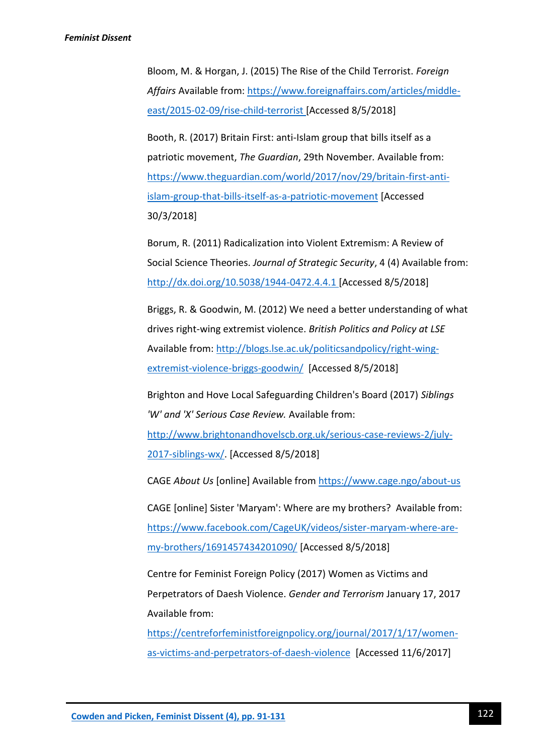Bloom, M. & Horgan, J. (2015) The Rise of the Child Terrorist. *Foreign*  Affairs Available from: [https://www.foreignaffairs.com/articles/middle](https://www.foreignaffairs.com/articles/middle-east/2015-02-09/rise-child-terrorist)[east/2015-02-09/rise-child-terrorist](https://www.foreignaffairs.com/articles/middle-east/2015-02-09/rise-child-terrorist) [Accessed 8/5/2018]

Booth, R. (2017) Britain First: anti-Islam group that bills itself as a patriotic movement, *The Guardian*, 29th November*.* Available from: [https://www.theguardian.com/world/2017/nov/29/britain-first-anti](https://www.theguardian.com/world/2017/nov/29/britain-first-anti-islam-group-that-bills-itself-as-a-patriotic-movement)[islam-group-that-bills-itself-as-a-patriotic-movement](https://www.theguardian.com/world/2017/nov/29/britain-first-anti-islam-group-that-bills-itself-as-a-patriotic-movement) [Accessed 30/3/2018]

Borum, R. (2011) Radicalization into Violent Extremism: A Review of Social Science Theories. *Journal of Strategic Security*, 4 (4) Available from: <http://dx.doi.org/10.5038/1944-0472.4.4.1> [Accessed 8/5/2018]

Briggs, R. & Goodwin, M. (2012) We need a better understanding of what drives right-wing extremist violence. *British Politics and Policy at LSE*  Available from: [http://blogs.lse.ac.uk/politicsandpolicy/right-wing](http://blogs.lse.ac.uk/politicsandpolicy/right-wing-extremist-violence-briggs-goodwin/)[extremist-violence-briggs-goodwin/](http://blogs.lse.ac.uk/politicsandpolicy/right-wing-extremist-violence-briggs-goodwin/) [Accessed 8/5/2018]

Brighton and Hove Local Safeguarding Children's Board (2017) *Siblings 'W' and 'X' Serious Case Review.* Available from:

[http://www.brightonandhovelscb.org.uk/serious-case-reviews-2/july-](http://www.brightonandhovelscb.org.uk/serious-case-reviews-2/july-2017-siblings-wx/)[2017-siblings-wx/.](http://www.brightonandhovelscb.org.uk/serious-case-reviews-2/july-2017-siblings-wx/) [Accessed 8/5/2018]

CAGE *About Us* [online] Available from<https://www.cage.ngo/about-us>

CAGE [online] Sister 'Maryam': Where are my brothers? Available from: [https://www.facebook.com/CageUK/videos/sister-maryam-where-are](https://www.facebook.com/CageUK/videos/sister-maryam-where-are-my-brothers/1691457434201090/)[my-brothers/1691457434201090/](https://www.facebook.com/CageUK/videos/sister-maryam-where-are-my-brothers/1691457434201090/) [Accessed 8/5/2018]

Centre for Feminist Foreign Policy (2017) Women as Victims and Perpetrators of Daesh Violence. *Gender and Terrorism* January 17, 2017 Available from:

[https://centreforfeministforeignpolicy.org/journal/2017/1/17/women](https://centreforfeministforeignpolicy.org/journal/2017/1/17/women-as-victims-and-perpetrators-of-daesh-violence)[as-victims-and-perpetrators-of-daesh-violence](https://centreforfeministforeignpolicy.org/journal/2017/1/17/women-as-victims-and-perpetrators-of-daesh-violence) [Accessed 11/6/2017]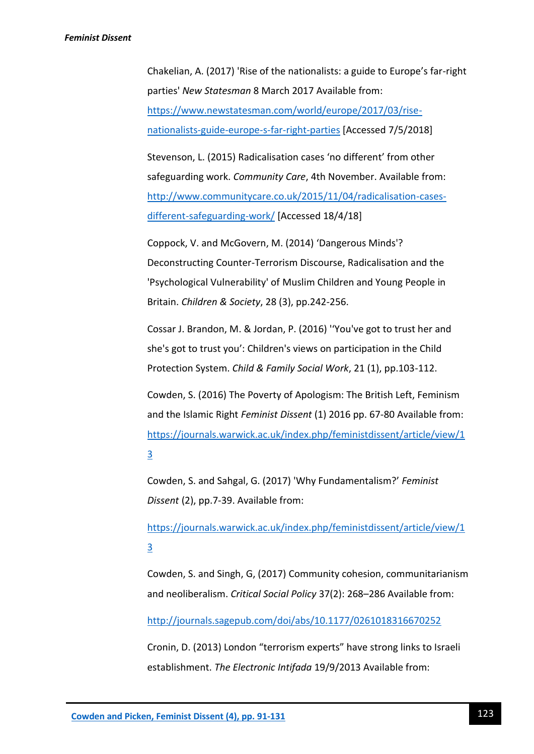Chakelian, A. (2017) 'Rise of the nationalists: a guide to Europe's far-right parties' *New Statesman* 8 March 2017 Available from: [https://www.newstatesman.com/world/europe/2017/03/rise](https://www.newstatesman.com/world/europe/2017/03/rise-nationalists-guide-europe-s-far-right-parties)[nationalists-guide-europe-s-far-right-parties](https://www.newstatesman.com/world/europe/2017/03/rise-nationalists-guide-europe-s-far-right-parties) [Accessed 7/5/2018]

Stevenson, L. (2015) Radicalisation cases 'no different' from other safeguarding work. *Community Care*, 4th November. Available from: [http://www.communitycare.co.uk/2015/11/04/radicalisation-cases](http://www.communitycare.co.uk/2015/11/04/radicalisation-cases-different-safeguarding-work/)[different-safeguarding-work/](http://www.communitycare.co.uk/2015/11/04/radicalisation-cases-different-safeguarding-work/) [Accessed 18/4/18]

Coppock, V. and McGovern, M. (2014) 'Dangerous Minds'? Deconstructing Counter-Terrorism Discourse, Radicalisation and the 'Psychological Vulnerability' of Muslim Children and Young People in Britain. *Children & Society*, 28 (3), pp.242-256.

Cossar J. Brandon, M. & Jordan, P. (2016) ''You've got to trust her and she's got to trust you': Children's views on participation in the Child Protection System. *Child & Family Social Work*, 21 (1), pp.103-112.

Cowden, S. (2016) The Poverty of Apologism: The British Left, Feminism and the Islamic Right *Feminist Dissent* (1) 2016 pp. 67-80 Available from: [https://journals.warwick.ac.uk/index.php/feministdissent/article/view/1](https://journals.warwick.ac.uk/index.php/feministdissent/article/view/13) [3](https://journals.warwick.ac.uk/index.php/feministdissent/article/view/13)

Cowden, S. and Sahgal, G. (2017) 'Why Fundamentalism?' *Feminist Dissent* (2), pp.7-39. Available from:

[https://journals.warwick.ac.uk/index.php/feministdissent/article/view/1](https://journals.warwick.ac.uk/index.php/feministdissent/article/view/13) [3](https://journals.warwick.ac.uk/index.php/feministdissent/article/view/13)

Cowden, S. and Singh, G, (2017) Community cohesion, communitarianism and neoliberalism. *Critical Social Policy* 37(2): 268–286 Available from:

<http://journals.sagepub.com/doi/abs/10.1177/0261018316670252>

Cronin, D. (2013) London "terrorism experts" have strong links to Israeli establishment. *The Electronic Intifada* 19/9/2013 Available from: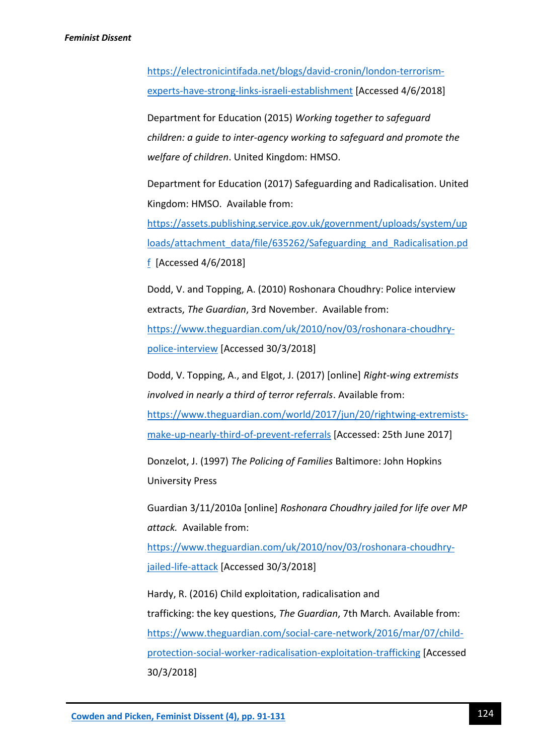[https://electronicintifada.net/blogs/david-cronin/london-terrorism](https://electronicintifada.net/blogs/david-cronin/london-terrorism-experts-have-strong-links-israeli-establishment)[experts-have-strong-links-israeli-establishment](https://electronicintifada.net/blogs/david-cronin/london-terrorism-experts-have-strong-links-israeli-establishment) [Accessed 4/6/2018]

Department for Education (2015) *Working together to safeguard children: a guide to inter-agency working to safeguard and promote the welfare of children*. United Kingdom: HMSO.

Department for Education (2017) Safeguarding and Radicalisation. United Kingdom: HMSO. Available from:

[https://assets.publishing.service.gov.uk/government/uploads/system/up](https://assets.publishing.service.gov.uk/government/uploads/system/uploads/attachment_data/file/635262/Safeguarding_and_Radicalisation.pdf) [loads/attachment\\_data/file/635262/Safeguarding\\_and\\_Radicalisation.pd](https://assets.publishing.service.gov.uk/government/uploads/system/uploads/attachment_data/file/635262/Safeguarding_and_Radicalisation.pdf) [f](https://assets.publishing.service.gov.uk/government/uploads/system/uploads/attachment_data/file/635262/Safeguarding_and_Radicalisation.pdf) [Accessed 4/6/2018]

Dodd, V. and Topping, A. (2010) Roshonara Choudhry: Police interview extracts, *The Guardian*, 3rd November. Available from: [https://www.theguardian.com/uk/2010/nov/03/roshonara-choudhry](https://www.theguardian.com/uk/2010/nov/03/roshonara-choudhry-police-interview)[police-interview](https://www.theguardian.com/uk/2010/nov/03/roshonara-choudhry-police-interview) [Accessed 30/3/2018]

Dodd, V. Topping, A., and Elgot, J. (2017) [online] *Right-wing extremists involved in nearly a third of terror referrals*. Available from: [https://www.theguardian.com/world/2017/jun/20/rightwing-extremists](https://www.theguardian.com/world/2017/jun/20/rightwing-extremists-make-up-nearly-third-of-prevent-referrals)[make-up-nearly-third-of-prevent-referrals](https://www.theguardian.com/world/2017/jun/20/rightwing-extremists-make-up-nearly-third-of-prevent-referrals) [Accessed: 25th June 2017]

Donzelot, J. (1997) *The Policing of Families* Baltimore: John Hopkins University Press

Guardian 3/11/2010a [online] *Roshonara Choudhry jailed for life over MP attack.* Available from:

[https://www.theguardian.com/uk/2010/nov/03/roshonara-choudhry](https://www.theguardian.com/uk/2010/nov/03/roshonara-choudhry-jailed-life-attack)[jailed-life-attack](https://www.theguardian.com/uk/2010/nov/03/roshonara-choudhry-jailed-life-attack) [Accessed 30/3/2018]

Hardy, R. (2016) Child exploitation, radicalisation and trafficking: the key questions, *The Guardian*, 7th March*.* Available from: [https://www.theguardian.com/social-care-network/2016/mar/07/child](https://www.theguardian.com/social-care-network/2016/mar/07/child-protection-social-worker-radicalisation-exploitation-trafficking)[protection-social-worker-radicalisation-exploitation-trafficking](https://www.theguardian.com/social-care-network/2016/mar/07/child-protection-social-worker-radicalisation-exploitation-trafficking) [Accessed 30/3/2018]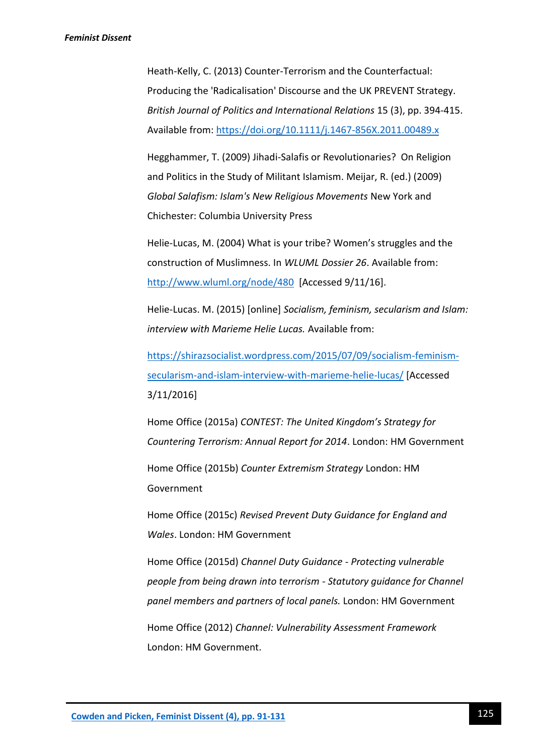Heath-Kelly, C. (2013) Counter-Terrorism and the Counterfactual: Producing the 'Radicalisation' Discourse and the UK PREVENT Strategy. *British Journal of Politics and International Relations* 15 (3), pp. 394-415. Available from:<https://doi.org/10.1111/j.1467-856X.2011.00489.x>

Hegghammer, T. (2009) Jihadi-Salafis or Revolutionaries? On Religion and Politics in the Study of Militant Islamism. Meijar, R. (ed.) (2009) *Global Salafism: Islam's New Religious Movements* New York and Chichester: Columbia University Press

Helie-Lucas, M. (2004) What is your tribe? Women's struggles and the construction of Muslimness. In *WLUML Dossier 26*. Available from: <http://www.wluml.org/node/480>[Accessed 9/11/16].

Helie-Lucas. M. (2015) [online] *Socialism, feminism, secularism and Islam: interview with Marieme Helie Lucas.* Available from:

[https://shirazsocialist.wordpress.com/2015/07/09/socialism-feminism](https://shirazsocialist.wordpress.com/2015/07/09/socialism-feminism-secularism-and-islam-interview-with-marieme-helie-lucas/)[secularism-and-islam-interview-with-marieme-helie-lucas/](https://shirazsocialist.wordpress.com/2015/07/09/socialism-feminism-secularism-and-islam-interview-with-marieme-helie-lucas/) [Accessed 3/11/2016]

Home Office (2015a) *CONTEST: The United Kingdom's Strategy for Countering Terrorism: Annual Report for 2014*. London: HM Government

Home Office (2015b) *Counter Extremism Strategy* London: HM Government

Home Office (2015c) *Revised Prevent Duty Guidance for England and Wales*. London: HM Government

Home Office (2015d) *Channel Duty Guidance* - *Protecting vulnerable people from being drawn into terrorism - Statutory guidance for Channel panel members and partners of local panels.* London: HM Government

Home Office (2012) *Channel: Vulnerability Assessment Framework* London: HM Government.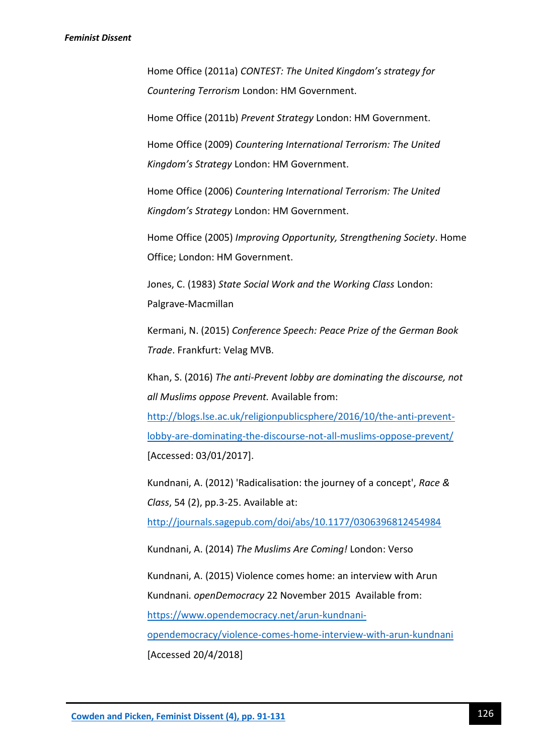Home Office (2011a) *CONTEST: The United Kingdom's strategy for Countering Terrorism* London: HM Government.

Home Office (2011b) *Prevent Strategy* London: HM Government.

Home Office (2009) *Countering International Terrorism: The United Kingdom's Strategy* London: HM Government.

Home Office (2006) *Countering International Terrorism: The United Kingdom's Strategy* London: HM Government.

Home Office (2005) *Improving Opportunity, Strengthening Society*. Home Office; London: HM Government.

Jones, C. (1983) *State Social Work and the Working Class* London: Palgrave-Macmillan

Kermani, N. (2015) *Conference Speech: Peace Prize of the German Book Trade*. Frankfurt: Velag MVB.

Khan, S. (2016) *The anti-Prevent lobby are dominating the discourse, not all Muslims oppose Prevent.* Available from:

[http://blogs.lse.ac.uk/religionpublicsphere/2016/10/the-anti-prevent](http://blogs.lse.ac.uk/religionpublicsphere/2016/10/the-anti-prevent-lobby-are-dominating-the-discourse-not-all-muslims-oppose-prevent/)[lobby-are-dominating-the-discourse-not-all-muslims-oppose-prevent/](http://blogs.lse.ac.uk/religionpublicsphere/2016/10/the-anti-prevent-lobby-are-dominating-the-discourse-not-all-muslims-oppose-prevent/) [Accessed: 03/01/2017].

Kundnani, A. (2012) 'Radicalisation: the journey of a concept', *Race & Class*, 54 (2), pp.3-25. Available at:

<http://journals.sagepub.com/doi/abs/10.1177/0306396812454984>

Kundnani, A. (2014) *The Muslims Are Coming!* London: Verso

Kundnani, A. (2015) Violence comes home: an interview with Arun Kundnani*. openDemocracy* 22 November 2015 Available from: [https://www.opendemocracy.net/arun-kundnani-](https://www.opendemocracy.net/arun-kundnani-opendemocracy/violence-comes-home-interview-with-arun-kundnani)

[opendemocracy/violence-comes-home-interview-with-arun-kundnani](https://www.opendemocracy.net/arun-kundnani-opendemocracy/violence-comes-home-interview-with-arun-kundnani) [Accessed 20/4/2018]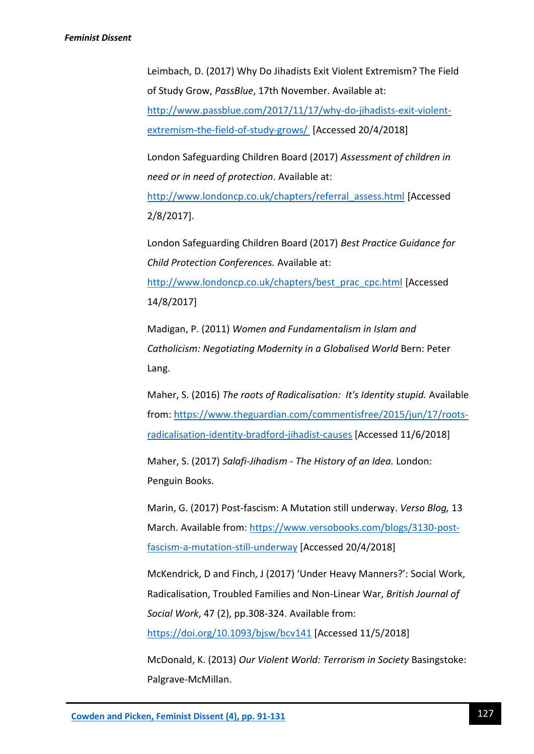Leimbach, D. (2017) Why Do Jihadists Exit Violent Extremism? The Field of Study Grow, *PassBlue*, 17th November. Available at: [http://www.passblue.com/2017/11/17/why-do-jihadists-exit-violent](http://www.passblue.com/2017/11/17/why-do-jihadists-exit-violent-extremism-the-field-of-study-grows/)[extremism-the-field-of-study-grows/](http://www.passblue.com/2017/11/17/why-do-jihadists-exit-violent-extremism-the-field-of-study-grows/) [Accessed 20/4/2018]

London Safeguarding Children Board (2017) *Assessment of children in need or in need of protection*. Available at:

[http://www.londoncp.co.uk/chapters/referral\\_assess.html](http://www.londoncp.co.uk/chapters/referral_assess.html) [Accessed 2/8/2017].

London Safeguarding Children Board (2017) *Best Practice Guidance for Child Protection Conferences.* Available at:

[http://www.londoncp.co.uk/chapters/best\\_prac\\_cpc.html](http://www.londoncp.co.uk/chapters/best_prac_cpc.html) [Accessed 14/8/2017]

Madigan, P. (2011) *Women and Fundamentalism in Islam and Catholicism: Negotiating Modernity in a Globalised World* Bern: Peter Lang.

Maher, S. (2016) *The roots of Radicalisation: It's Identity stupid.* Available from: [https://www.theguardian.com/commentisfree/2015/jun/17/roots](https://www.theguardian.com/commentisfree/2015/jun/17/roots-radicalisation-identity-bradford-jihadist-causes)[radicalisation-identity-bradford-jihadist-causes](https://www.theguardian.com/commentisfree/2015/jun/17/roots-radicalisation-identity-bradford-jihadist-causes) [Accessed 11/6/2018]

Maher, S. (2017) *Salafi-Jihadism - The History of an Idea.* London: Penguin Books.

Marin, G. (2017) Post-fascism: A Mutation still underway. *Verso Blog,* 13 March. Available from: [https://www.versobooks.com/blogs/3130-post](https://www.versobooks.com/blogs/3130-post-fascism-a-mutation-still-underway)[fascism-a-mutation-still-underway](https://www.versobooks.com/blogs/3130-post-fascism-a-mutation-still-underway) [Accessed 20/4/2018]

McKendrick, D and Finch, J (2017) 'Under Heavy Manners?': Social Work, Radicalisation, Troubled Families and Non-Linear War, *British Journal of Social Work*, 47 (2), pp.308-324. Available from: <https://doi.org/10.1093/bjsw/bcv141> [Accessed 11/5/2018]

McDonald, K. (2013) *Our Violent World: Terrorism in Society* Basingstoke: Palgrave-McMillan.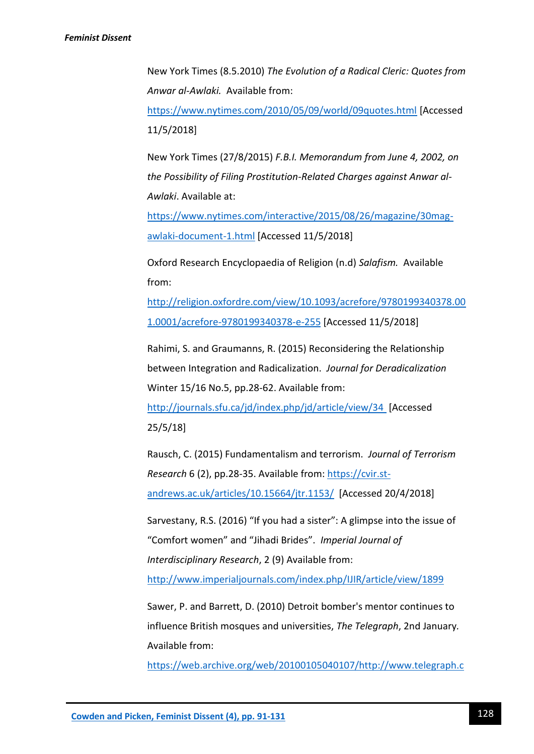New York Times (8.5.2010) *The Evolution of a Radical Cleric: Quotes from Anwar al-Awlaki.* Available from:

<https://www.nytimes.com/2010/05/09/world/09quotes.html> [Accessed 11/5/2018]

New York Times (27/8/2015) *F.B.I. Memorandum from June 4, 2002, on the Possibility of Filing Prostitution-Related Charges against Anwar al-Awlaki*. Available at:

[https://www.nytimes.com/interactive/2015/08/26/magazine/30mag](https://www.nytimes.com/interactive/2015/08/26/magazine/30mag-awlaki-document-1.html)[awlaki-document-1.html](https://www.nytimes.com/interactive/2015/08/26/magazine/30mag-awlaki-document-1.html) [Accessed 11/5/2018]

Oxford Research Encyclopaedia of Religion (n.d) *Salafism.* Available from:

[http://religion.oxfordre.com/view/10.1093/acrefore/9780199340378.00](http://religion.oxfordre.com/view/10.1093/acrefore/9780199340378.001.0001/acrefore-9780199340378-e-255) [1.0001/acrefore-9780199340378-e-255](http://religion.oxfordre.com/view/10.1093/acrefore/9780199340378.001.0001/acrefore-9780199340378-e-255) [Accessed 11/5/2018]

Rahimi, S. and Graumanns, R. (2015) Reconsidering the Relationship between Integration and Radicalization. *Journal for Deradicalization* Winter 15/16 No.5, pp.28-62. Available from:

<http://journals.sfu.ca/jd/index.php/jd/article/view/34> [Accessed 25/5/18]

Rausch, C. (2015) Fundamentalism and terrorism. *Journal of Terrorism Research* 6 (2), pp.28-35. Available from: [https://cvir.st](https://cvir.st-andrews.ac.uk/articles/10.15664/jtr.1153/)[andrews.ac.uk/articles/10.15664/jtr.1153/](https://cvir.st-andrews.ac.uk/articles/10.15664/jtr.1153/) [Accessed 20/4/2018]

Sarvestany, R.S. (2016) "If you had a sister": A glimpse into the issue of "Comfort women" and "Jihadi Brides". *Imperial Journal of Interdisciplinary Research*, 2 (9) Available from:

<http://www.imperialjournals.com/index.php/IJIR/article/view/1899>

Sawer, P. and Barrett, D. (2010) Detroit bomber's mentor continues to influence British mosques and universities, *The Telegraph*, 2nd January*.* Available from:

[https://web.archive.org/web/20100105040107/http://www.telegraph.c](https://web.archive.org/web/20100105040107/http:/www.telegraph.co.uk/news/uknews/terrorism-in-the-uk/6924653/Detroit-bombers-mentor-continues-to-influence-British-mosques-and-universities.html)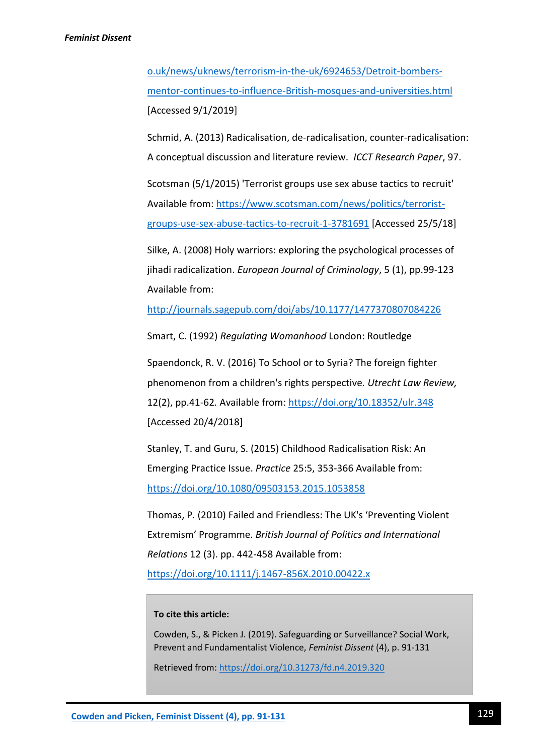[o.uk/news/uknews/terrorism-in-the-uk/6924653/Detroit-bombers](https://web.archive.org/web/20100105040107/http:/www.telegraph.co.uk/news/uknews/terrorism-in-the-uk/6924653/Detroit-bombers-mentor-continues-to-influence-British-mosques-and-universities.html)[mentor-continues-to-influence-British-mosques-and-universities.html](https://web.archive.org/web/20100105040107/http:/www.telegraph.co.uk/news/uknews/terrorism-in-the-uk/6924653/Detroit-bombers-mentor-continues-to-influence-British-mosques-and-universities.html) [Accessed 9/1/2019]

Schmid, A. (2013) Radicalisation, de-radicalisation, counter-radicalisation: A conceptual discussion and literature review. *ICCT Research Paper*, 97.

Scotsman (5/1/2015) 'Terrorist groups use sex abuse tactics to recruit' Available from: [https://www.scotsman.com/news/politics/terrorist](https://www.scotsman.com/news/politics/terrorist-groups-use-sex-abuse-tactics-to-recruit-1-3781691)[groups-use-sex-abuse-tactics-to-recruit-1-3781691](https://www.scotsman.com/news/politics/terrorist-groups-use-sex-abuse-tactics-to-recruit-1-3781691) [Accessed 25/5/18]

Silke, A. (2008) Holy warriors: exploring the psychological processes of jihadi radicalization. *European Journal of Criminology*, 5 (1), pp.99-123 Available from:

<http://journals.sagepub.com/doi/abs/10.1177/1477370807084226>

Smart, C. (1992) *Regulating Womanhood* London: Routledge

Spaendonck, R. V. (2016) To School or to Syria? The foreign fighter phenomenon from a children's rights perspective*. Utrecht Law Review,*  12(2), pp.41-62*.* Available from:<https://doi.org/10.18352/ulr.348> [Accessed 20/4/2018]

Stanley, T. and Guru, S. (2015) Childhood Radicalisation Risk: An Emerging Practice Issue. *Practice* 25:5, 353-366 Available from: <https://doi.org/10.1080/09503153.2015.1053858>

Thomas, P. (2010) Failed and Friendless: The UK's 'Preventing Violent Extremism' Programme. *British Journal of Politics and International Relations* 12 (3). pp. 442-458 Available from:

<https://doi.org/10.1111/j.1467-856X.2010.00422.x>

## **To cite this article:**

Cowden, S., & Picken J. (2019). Safeguarding or Surveillance? Social Work, Prevent and Fundamentalist Violence, *Feminist Dissent* (4), p. 91-131

Retrieved from:<https://doi.org/10.31273/fd.n4.2019.320>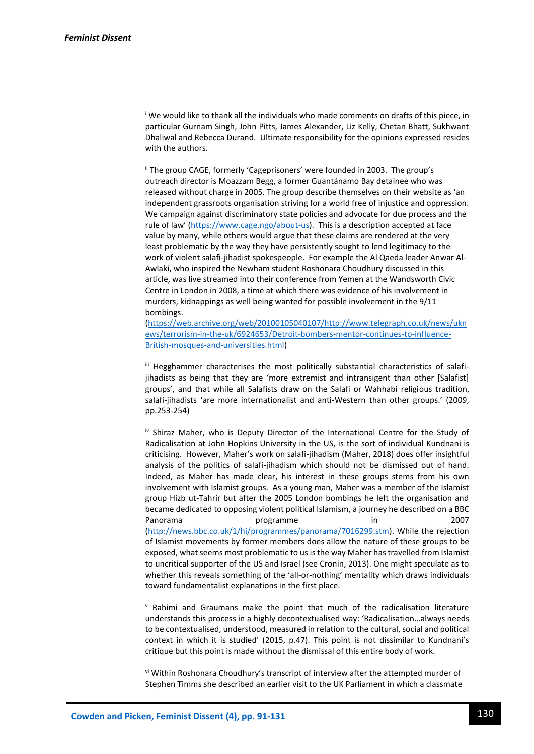1

<sup>i</sup> We would like to thank all the individuals who made comments on drafts of this piece, in particular Gurnam Singh, John Pitts, James Alexander, Liz Kelly, Chetan Bhatt, Sukhwant Dhaliwal and Rebecca Durand. Ultimate responsibility for the opinions expressed resides with the authors.

ii The group CAGE, formerly 'Cageprisoners' were founded in 2003. The group's outreach director is Moazzam Begg, a former Guantánamo Bay detainee who was released without charge in 2005. The group describe themselves on their website as 'an independent grassroots organisation striving for a world free of injustice and oppression. We campaign against discriminatory state policies and advocate for due process and the rule of law' ([https://www.cage.ngo/about-us\)](https://www.cage.ngo/about-us). This is a description accepted at face value by many, while others would argue that these claims are rendered at the very least problematic by the way they have persistently sought to lend legitimacy to the work of violent salafi-jihadist spokespeople. For example the Al Qaeda leader Anwar Al-Awlaki, who inspired the Newham student Roshonara Choudhury discussed in this article, was live streamed into their conference from Yemen at the Wandsworth Civic Centre in London in 2008, a time at which there was evidence of his involvement in murders, kidnappings as well being wanted for possible involvement in the 9/11 bombings.

[\(https://web.archive.org/web/20100105040107/http://www.telegraph.co.uk/news/ukn](https://web.archive.org/web/20100105040107/http:/www.telegraph.co.uk/news/uknews/terrorism-in-the-uk/6924653/Detroit-bombers-mentor-continues-to-influence-British-mosques-and-universities.html) [ews/terrorism-in-the-uk/6924653/Detroit-bombers-mentor-continues-to-influence-](https://web.archive.org/web/20100105040107/http:/www.telegraph.co.uk/news/uknews/terrorism-in-the-uk/6924653/Detroit-bombers-mentor-continues-to-influence-British-mosques-and-universities.html)[British-mosques-and-universities.html\)](https://web.archive.org/web/20100105040107/http:/www.telegraph.co.uk/news/uknews/terrorism-in-the-uk/6924653/Detroit-bombers-mentor-continues-to-influence-British-mosques-and-universities.html)

III Hegghammer characterises the most politically substantial characteristics of salafijihadists as being that they are 'more extremist and intransigent than other [Salafist] groups', and that while all Salafists draw on the Salafi or Wahhabi religious tradition, salafi-jihadists 'are more internationalist and anti-Western than other groups.' (2009, pp.253-254)

iv Shiraz Maher, who is Deputy Director of the International Centre for the Study of Radicalisation at John Hopkins University in the US, is the sort of individual Kundnani is criticising. However, Maher's work on salafi-jihadism (Maher, 2018) does offer insightful analysis of the politics of salafi-jihadism which should not be dismissed out of hand. Indeed, as Maher has made clear, his interest in these groups stems from his own involvement with Islamist groups. As a young man, Maher was a member of the Islamist group Hizb ut-Tahrir but after the 2005 London bombings he left the organisation and became dedicated to opposing violent political Islamism, a journey he described on a BBC Panorama **programme** in 2007 [\(http://news.bbc.co.uk/1/hi/programmes/panorama/7016299.stm\)](http://news.bbc.co.uk/1/hi/programmes/panorama/7016299.stm). While the rejection of Islamist movements by former members does allow the nature of these groups to be exposed, what seems most problematic to us is the way Maher has travelled from Islamist to uncritical supporter of the US and Israel (see Cronin, 2013). One might speculate as to whether this reveals something of the 'all-or-nothing' mentality which draws individuals toward fundamentalist explanations in the first place.

<sup>v</sup> Rahimi and Graumans make the point that much of the radicalisation literature understands this process in a highly decontextualised way: 'Radicalisation…always needs to be contextualised, understood, measured in relation to the cultural, social and political context in which it is studied' (2015, p.47). This point is not dissimilar to Kundnani's critique but this point is made without the dismissal of this entire body of work.

vi Within Roshonara Choudhury's transcript of interview after the attempted murder of Stephen Timms she described an earlier visit to the UK Parliament in which a classmate